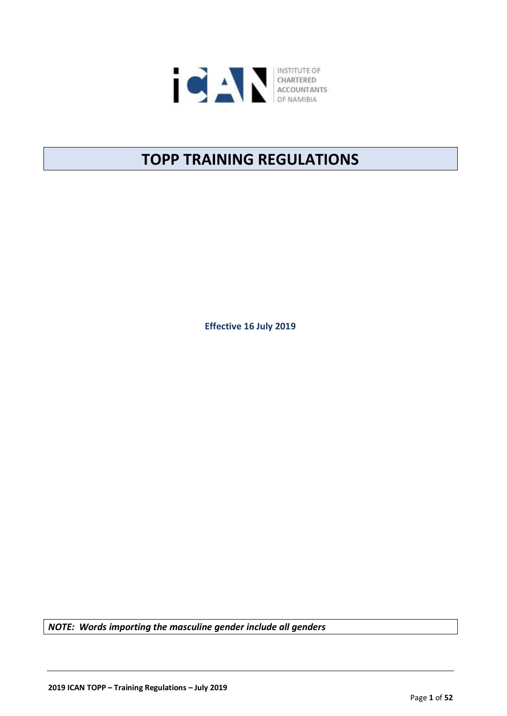

# **TOPP TRAINING REGULATIONS**

**Effective 16 July 2019**

*NOTE: Words importing the masculine gender include all genders*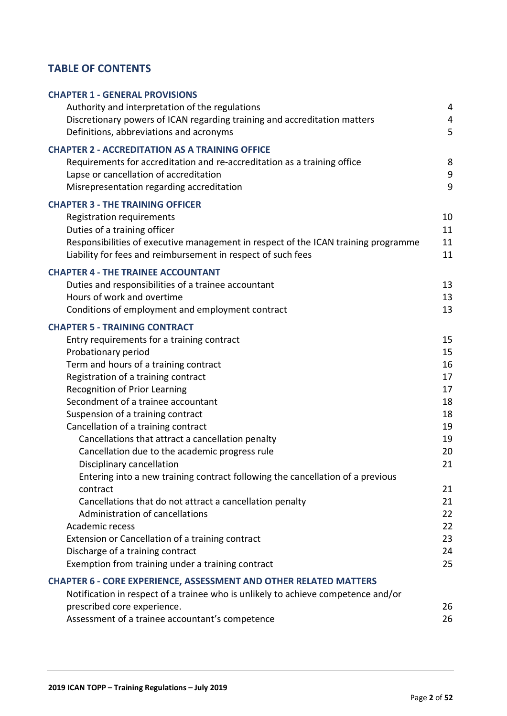# **TABLE OF CONTENTS**

| <b>CHAPTER 1 - GENERAL PROVISIONS</b>                                              |    |
|------------------------------------------------------------------------------------|----|
| Authority and interpretation of the regulations                                    | 4  |
| Discretionary powers of ICAN regarding training and accreditation matters          | 4  |
| Definitions, abbreviations and acronyms                                            | 5  |
| <b>CHAPTER 2 - ACCREDITATION AS A TRAINING OFFICE</b>                              |    |
| Requirements for accreditation and re-accreditation as a training office           | 8  |
| Lapse or cancellation of accreditation                                             | 9  |
| Misrepresentation regarding accreditation                                          | 9  |
| <b>CHAPTER 3 - THE TRAINING OFFICER</b>                                            |    |
| Registration requirements                                                          | 10 |
| Duties of a training officer                                                       | 11 |
| Responsibilities of executive management in respect of the ICAN training programme | 11 |
| Liability for fees and reimbursement in respect of such fees                       | 11 |
| <b>CHAPTER 4 - THE TRAINEE ACCOUNTANT</b>                                          |    |
| Duties and responsibilities of a trainee accountant                                | 13 |
| Hours of work and overtime                                                         | 13 |
| Conditions of employment and employment contract                                   | 13 |
| <b>CHAPTER 5 - TRAINING CONTRACT</b>                                               |    |
| Entry requirements for a training contract                                         | 15 |
| Probationary period                                                                | 15 |
| Term and hours of a training contract                                              | 16 |
| Registration of a training contract                                                | 17 |
| <b>Recognition of Prior Learning</b>                                               | 17 |
| Secondment of a trainee accountant                                                 | 18 |
| Suspension of a training contract                                                  | 18 |
| Cancellation of a training contract                                                | 19 |
| Cancellations that attract a cancellation penalty                                  | 19 |
| Cancellation due to the academic progress rule                                     | 20 |
| Disciplinary cancellation                                                          | 21 |
| Entering into a new training contract following the cancellation of a previous     |    |
| contract                                                                           | 21 |
| Cancellations that do not attract a cancellation penalty                           | 21 |
| Administration of cancellations                                                    | 22 |
| Academic recess                                                                    | 22 |
| Extension or Cancellation of a training contract                                   | 23 |
| Discharge of a training contract                                                   | 24 |
| Exemption from training under a training contract                                  | 25 |
| <b>CHAPTER 6 - CORE EXPERIENCE, ASSESSMENT AND OTHER RELATED MATTERS</b>           |    |
| Notification in respect of a trainee who is unlikely to achieve competence and/or  |    |
| prescribed core experience.                                                        | 26 |
| Assessment of a trainee accountant's competence                                    | 26 |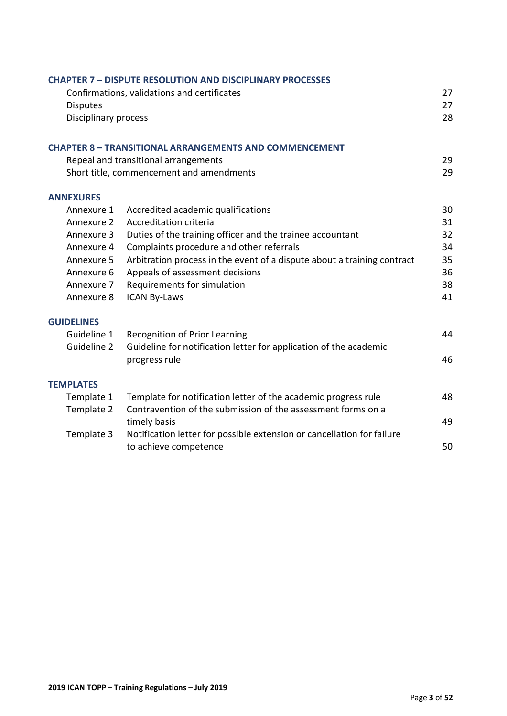|                      | <b>CHAPTER 7 - DISPUTE RESOLUTION AND DISCIPLINARY PROCESSES</b>        |    |
|----------------------|-------------------------------------------------------------------------|----|
|                      | Confirmations, validations and certificates                             | 27 |
| <b>Disputes</b>      |                                                                         | 27 |
| Disciplinary process |                                                                         | 28 |
|                      |                                                                         |    |
|                      | <b>CHAPTER 8 - TRANSITIONAL ARRANGEMENTS AND COMMENCEMENT</b>           |    |
|                      | Repeal and transitional arrangements                                    | 29 |
|                      | Short title, commencement and amendments                                | 29 |
| <b>ANNEXURES</b>     |                                                                         |    |
| Annexure 1           | Accredited academic qualifications                                      | 30 |
| Annexure 2           | Accreditation criteria                                                  | 31 |
| Annexure 3           | Duties of the training officer and the trainee accountant               | 32 |
| Annexure 4           | Complaints procedure and other referrals                                | 34 |
| Annexure 5           | Arbitration process in the event of a dispute about a training contract | 35 |
| Annexure 6           | Appeals of assessment decisions                                         | 36 |
| Annexure 7           | Requirements for simulation                                             | 38 |
| Annexure 8           | <b>ICAN By-Laws</b>                                                     | 41 |
| <b>GUIDELINES</b>    |                                                                         |    |
| Guideline 1          | <b>Recognition of Prior Learning</b>                                    | 44 |
| Guideline 2          | Guideline for notification letter for application of the academic       |    |
|                      | progress rule                                                           | 46 |
| <b>TEMPLATES</b>     |                                                                         |    |
| Template 1           | Template for notification letter of the academic progress rule          | 48 |
| Template 2           | Contravention of the submission of the assessment forms on a            |    |
|                      | timely basis                                                            | 49 |
| Template 3           | Notification letter for possible extension or cancellation for failure  |    |
|                      | to achieve competence                                                   | 50 |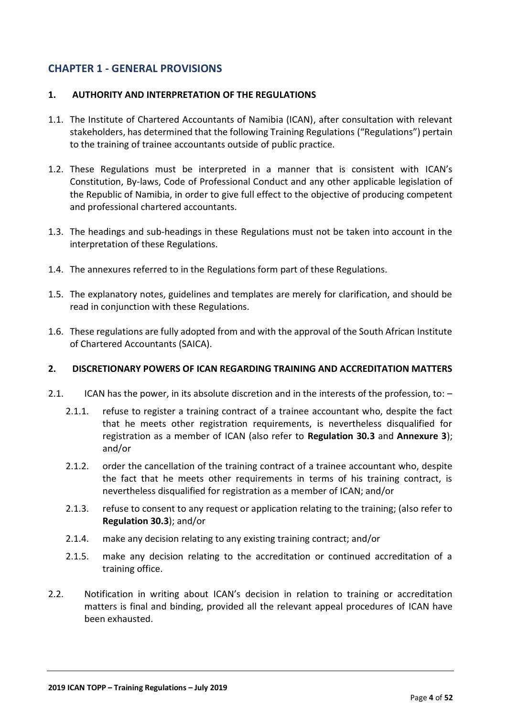# **CHAPTER 1 - GENERAL PROVISIONS**

### **1. AUTHORITY AND INTERPRETATION OF THE REGULATIONS**

- 1.1. The Institute of Chartered Accountants of Namibia (ICAN), after consultation with relevant stakeholders, has determined that the following Training Regulations ("Regulations") pertain to the training of trainee accountants outside of public practice.
- 1.2. These Regulations must be interpreted in a manner that is consistent with ICAN's Constitution, By-laws, Code of Professional Conduct and any other applicable legislation of the Republic of Namibia, in order to give full effect to the objective of producing competent and professional chartered accountants.
- 1.3. The headings and sub-headings in these Regulations must not be taken into account in the interpretation of these Regulations.
- 1.4. The annexures referred to in the Regulations form part of these Regulations.
- 1.5. The explanatory notes, guidelines and templates are merely for clarification, and should be read in conjunction with these Regulations.
- 1.6. These regulations are fully adopted from and with the approval of the South African Institute of Chartered Accountants (SAICA).

### **2. DISCRETIONARY POWERS OF ICAN REGARDING TRAINING AND ACCREDITATION MATTERS**

- 2.1. ICAN has the power, in its absolute discretion and in the interests of the profession, to:
	- 2.1.1. refuse to register a training contract of a trainee accountant who, despite the fact that he meets other registration requirements, is nevertheless disqualified for registration as a member of ICAN (also refer to **Regulation 30.3** and **Annexure 3**); and/or
	- 2.1.2. order the cancellation of the training contract of a trainee accountant who, despite the fact that he meets other requirements in terms of his training contract, is nevertheless disqualified for registration as a member of ICAN; and/or
	- 2.1.3. refuse to consent to any request or application relating to the training; (also refer to **Regulation 30.3**); and/or
	- 2.1.4. make any decision relating to any existing training contract; and/or
	- 2.1.5. make any decision relating to the accreditation or continued accreditation of a training office.
- 2.2. Notification in writing about ICAN's decision in relation to training or accreditation matters is final and binding, provided all the relevant appeal procedures of ICAN have been exhausted.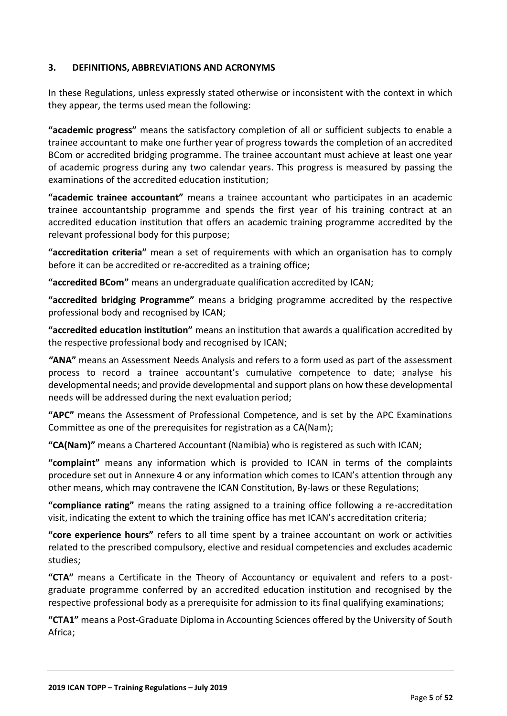# **3. DEFINITIONS, ABBREVIATIONS AND ACRONYMS**

In these Regulations, unless expressly stated otherwise or inconsistent with the context in which they appear, the terms used mean the following:

**"academic progress"** means the satisfactory completion of all or sufficient subjects to enable a trainee accountant to make one further year of progress towards the completion of an accredited BCom or accredited bridging programme. The trainee accountant must achieve at least one year of academic progress during any two calendar years. This progress is measured by passing the examinations of the accredited education institution;

**"academic trainee accountant"** means a trainee accountant who participates in an academic trainee accountantship programme and spends the first year of his training contract at an accredited education institution that offers an academic training programme accredited by the relevant professional body for this purpose;

**"accreditation criteria"** mean a set of requirements with which an organisation has to comply before it can be accredited or re-accredited as a training office;

**"accredited BCom"** means an undergraduate qualification accredited by ICAN;

**"accredited bridging Programme"** means a bridging programme accredited by the respective professional body and recognised by ICAN;

**"accredited education institution"** means an institution that awards a qualification accredited by the respective professional body and recognised by ICAN;

*"***ANA"** means an Assessment Needs Analysis and refers to a form used as part of the assessment process to record a trainee accountant's cumulative competence to date; analyse his developmental needs; and provide developmental and support plans on how these developmental needs will be addressed during the next evaluation period;

**"APC"** means the Assessment of Professional Competence, and is set by the APC Examinations Committee as one of the prerequisites for registration as a CA(Nam);

**"CA(Nam)"** means a Chartered Accountant (Namibia) who is registered as such with ICAN;

**"complaint"** means any information which is provided to ICAN in terms of the complaints procedure set out in Annexure 4 or any information which comes to ICAN's attention through any other means, which may contravene the ICAN Constitution, By-laws or these Regulations;

**"compliance rating"** means the rating assigned to a training office following a re-accreditation visit, indicating the extent to which the training office has met ICAN's accreditation criteria;

**"core experience hours"** refers to all time spent by a trainee accountant on work or activities related to the prescribed compulsory, elective and residual competencies and excludes academic studies;

**"CTA"** means a Certificate in the Theory of Accountancy or equivalent and refers to a postgraduate programme conferred by an accredited education institution and recognised by the respective professional body as a prerequisite for admission to its final qualifying examinations;

**"CTA1"** means a Post-Graduate Diploma in Accounting Sciences offered by the University of South Africa;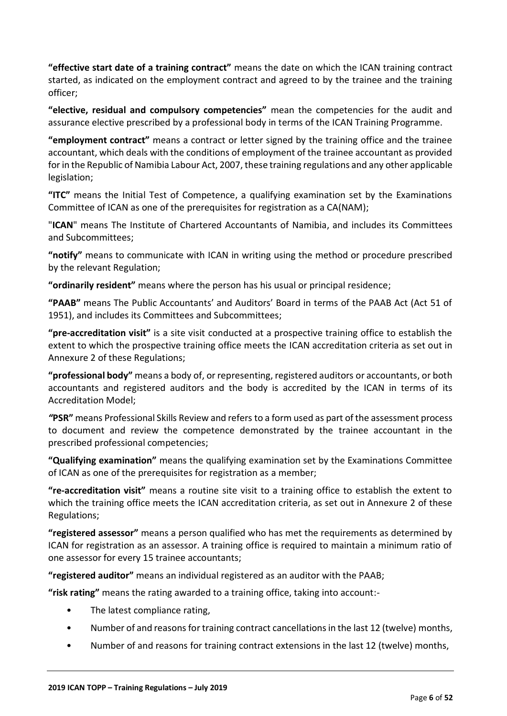**"effective start date of a training contract"** means the date on which the ICAN training contract started, as indicated on the employment contract and agreed to by the trainee and the training officer;

**"elective, residual and compulsory competencies"** mean the competencies for the audit and assurance elective prescribed by a professional body in terms of the ICAN Training Programme.

**"employment contract"** means a contract or letter signed by the training office and the trainee accountant, which deals with the conditions of employment of the trainee accountant as provided for in the Republic of Namibia Labour Act, 2007, these training regulations and any other applicable legislation;

**"ITC"** means the Initial Test of Competence, a qualifying examination set by the Examinations Committee of ICAN as one of the prerequisites for registration as a CA(NAM);

"**ICAN**" means The Institute of Chartered Accountants of Namibia, and includes its Committees and Subcommittees;

**"notify"** means to communicate with ICAN in writing using the method or procedure prescribed by the relevant Regulation;

**"ordinarily resident"** means where the person has his usual or principal residence;

**"PAAB"** means The Public Accountants' and Auditors' Board in terms of the PAAB Act (Act 51 of 1951), and includes its Committees and Subcommittees;

**"pre-accreditation visit"** is a site visit conducted at a prospective training office to establish the extent to which the prospective training office meets the ICAN accreditation criteria as set out in Annexure 2 of these Regulations;

**"professional body"** means a body of, or representing, registered auditors or accountants, or both accountants and registered auditors and the body is accredited by the ICAN in terms of its Accreditation Model;

*"***PSR"** means Professional Skills Review and refers to a form used as part of the assessment process to document and review the competence demonstrated by the trainee accountant in the prescribed professional competencies;

**"Qualifying examination"** means the qualifying examination set by the Examinations Committee of ICAN as one of the prerequisites for registration as a member;

**"re-accreditation visit"** means a routine site visit to a training office to establish the extent to which the training office meets the ICAN accreditation criteria, as set out in Annexure 2 of these Regulations;

**"registered assessor"** means a person qualified who has met the requirements as determined by ICAN for registration as an assessor. A training office is required to maintain a minimum ratio of one assessor for every 15 trainee accountants;

**"registered auditor"** means an individual registered as an auditor with the PAAB;

**"risk rating"** means the rating awarded to a training office, taking into account:-

- The latest compliance rating,
- Number of and reasons for training contract cancellations in the last 12 (twelve) months,
- Number of and reasons for training contract extensions in the last 12 (twelve) months,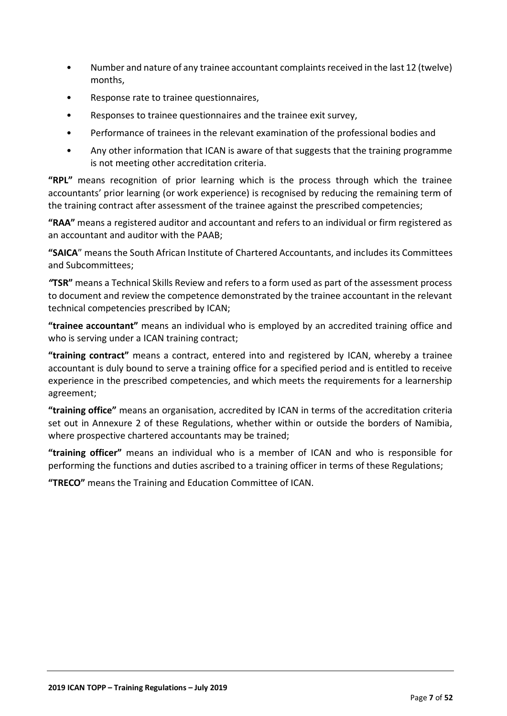- Number and nature of any trainee accountant complaints received in the last 12 (twelve) months,
- Response rate to trainee questionnaires,
- Responses to trainee questionnaires and the trainee exit survey,
- Performance of trainees in the relevant examination of the professional bodies and
- Any other information that ICAN is aware of that suggests that the training programme is not meeting other accreditation criteria.

**"RPL"** means recognition of prior learning which is the process through which the trainee accountants' prior learning (or work experience) is recognised by reducing the remaining term of the training contract after assessment of the trainee against the prescribed competencies;

**"RAA"** means a registered auditor and accountant and refers to an individual or firm registered as an accountant and auditor with the PAAB;

**"SAICA**" means the South African Institute of Chartered Accountants, and includes its Committees and Subcommittees;

*"***TSR"** means a Technical Skills Review and refers to a form used as part of the assessment process to document and review the competence demonstrated by the trainee accountant in the relevant technical competencies prescribed by ICAN;

**"trainee accountant"** means an individual who is employed by an accredited training office and who is serving under a ICAN training contract;

**"training contract"** means a contract, entered into and registered by ICAN, whereby a trainee accountant is duly bound to serve a training office for a specified period and is entitled to receive experience in the prescribed competencies, and which meets the requirements for a learnership agreement;

**"training office"** means an organisation, accredited by ICAN in terms of the accreditation criteria set out in Annexure 2 of these Regulations, whether within or outside the borders of Namibia, where prospective chartered accountants may be trained;

**"training officer"** means an individual who is a member of ICAN and who is responsible for performing the functions and duties ascribed to a training officer in terms of these Regulations;

**"TRECO"** means the Training and Education Committee of ICAN.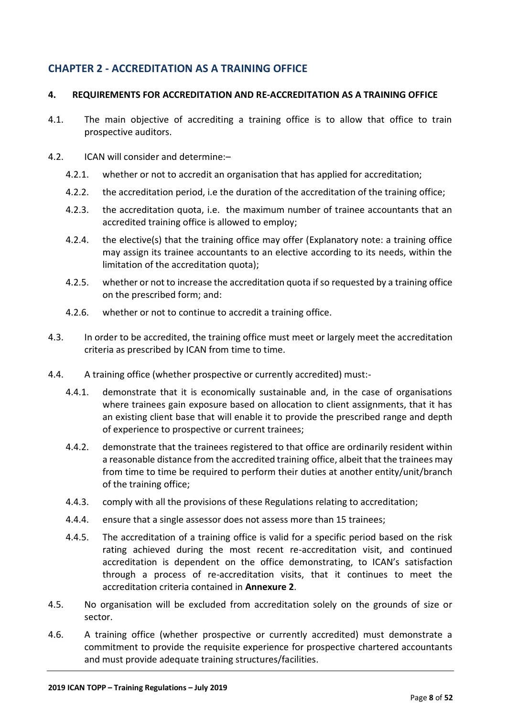# **CHAPTER 2 - ACCREDITATION AS A TRAINING OFFICE**

# **4. REQUIREMENTS FOR ACCREDITATION AND RE-ACCREDITATION AS A TRAINING OFFICE**

- 4.1. The main objective of accrediting a training office is to allow that office to train prospective auditors.
- 4.2. ICAN will consider and determine:–
	- 4.2.1. whether or not to accredit an organisation that has applied for accreditation;
	- 4.2.2. the accreditation period, i.e the duration of the accreditation of the training office;
	- 4.2.3. the accreditation quota, i.e. the maximum number of trainee accountants that an accredited training office is allowed to employ;
	- 4.2.4. the elective(s) that the training office may offer (Explanatory note: a training office may assign its trainee accountants to an elective according to its needs, within the limitation of the accreditation quota);
	- 4.2.5. whether or not to increase the accreditation quota if so requested by a training office on the prescribed form; and:
	- 4.2.6. whether or not to continue to accredit a training office.
- 4.3. In order to be accredited, the training office must meet or largely meet the accreditation criteria as prescribed by ICAN from time to time.
- 4.4. A training office (whether prospective or currently accredited) must:-
	- 4.4.1. demonstrate that it is economically sustainable and, in the case of organisations where trainees gain exposure based on allocation to client assignments, that it has an existing client base that will enable it to provide the prescribed range and depth of experience to prospective or current trainees;
	- 4.4.2. demonstrate that the trainees registered to that office are ordinarily resident within a reasonable distance from the accredited training office, albeit that the trainees may from time to time be required to perform their duties at another entity/unit/branch of the training office;
	- 4.4.3. comply with all the provisions of these Regulations relating to accreditation;
	- 4.4.4. ensure that a single assessor does not assess more than 15 trainees;
	- 4.4.5. The accreditation of a training office is valid for a specific period based on the risk rating achieved during the most recent re-accreditation visit, and continued accreditation is dependent on the office demonstrating, to ICAN's satisfaction through a process of re-accreditation visits, that it continues to meet the accreditation criteria contained in **Annexure 2**.
- 4.5. No organisation will be excluded from accreditation solely on the grounds of size or sector.
- 4.6. A training office (whether prospective or currently accredited) must demonstrate a commitment to provide the requisite experience for prospective chartered accountants and must provide adequate training structures/facilities.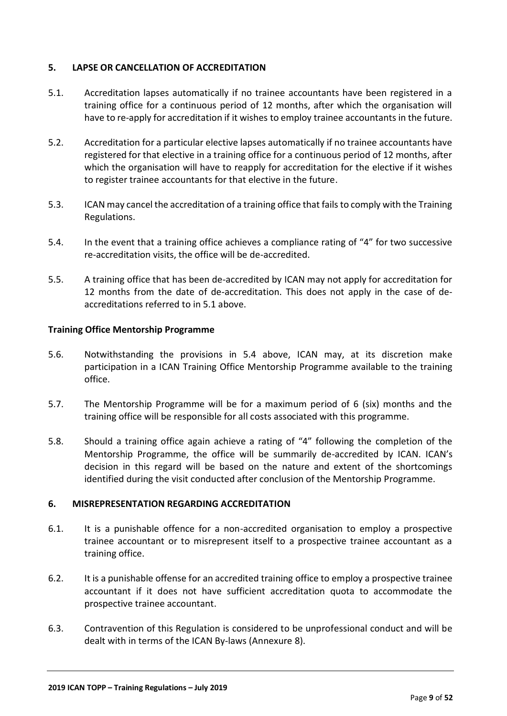# **5. LAPSE OR CANCELLATION OF ACCREDITATION**

- 5.1. Accreditation lapses automatically if no trainee accountants have been registered in a training office for a continuous period of 12 months, after which the organisation will have to re-apply for accreditation if it wishes to employ trainee accountants in the future.
- 5.2. Accreditation for a particular elective lapses automatically if no trainee accountants have registered for that elective in a training office for a continuous period of 12 months, after which the organisation will have to reapply for accreditation for the elective if it wishes to register trainee accountants for that elective in the future.
- 5.3. ICAN may cancel the accreditation of a training office that fails to comply with the Training Regulations.
- 5.4. In the event that a training office achieves a compliance rating of "4" for two successive re-accreditation visits, the office will be de-accredited.
- 5.5. A training office that has been de-accredited by ICAN may not apply for accreditation for 12 months from the date of de-accreditation. This does not apply in the case of deaccreditations referred to in 5.1 above.

### **Training Office Mentorship Programme**

- 5.6. Notwithstanding the provisions in 5.4 above, ICAN may, at its discretion make participation in a ICAN Training Office Mentorship Programme available to the training office.
- 5.7. The Mentorship Programme will be for a maximum period of 6 (six) months and the training office will be responsible for all costs associated with this programme.
- 5.8. Should a training office again achieve a rating of "4" following the completion of the Mentorship Programme, the office will be summarily de-accredited by ICAN. ICAN's decision in this regard will be based on the nature and extent of the shortcomings identified during the visit conducted after conclusion of the Mentorship Programme.

### **6. MISREPRESENTATION REGARDING ACCREDITATION**

- 6.1. It is a punishable offence for a non-accredited organisation to employ a prospective trainee accountant or to misrepresent itself to a prospective trainee accountant as a training office.
- 6.2. It is a punishable offense for an accredited training office to employ a prospective trainee accountant if it does not have sufficient accreditation quota to accommodate the prospective trainee accountant.
- 6.3. Contravention of this Regulation is considered to be unprofessional conduct and will be dealt with in terms of the ICAN By-laws (Annexure 8).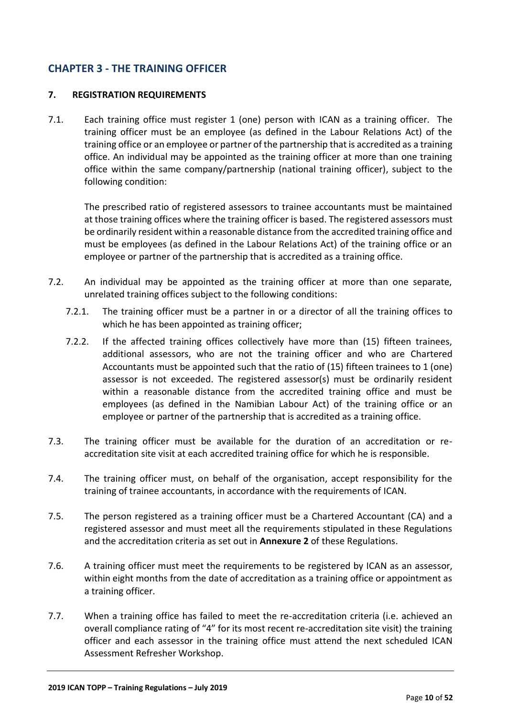# **CHAPTER 3 - THE TRAINING OFFICER**

### **7. REGISTRATION REQUIREMENTS**

7.1. Each training office must register 1 (one) person with ICAN as a training officer. The training officer must be an employee (as defined in the Labour Relations Act) of the training office or an employee or partner of the partnership that is accredited as a training office. An individual may be appointed as the training officer at more than one training office within the same company/partnership (national training officer), subject to the following condition:

The prescribed ratio of registered assessors to trainee accountants must be maintained at those training offices where the training officer is based. The registered assessors must be ordinarily resident within a reasonable distance from the accredited training office and must be employees (as defined in the Labour Relations Act) of the training office or an employee or partner of the partnership that is accredited as a training office.

- 7.2. An individual may be appointed as the training officer at more than one separate, unrelated training offices subject to the following conditions:
	- 7.2.1. The training officer must be a partner in or a director of all the training offices to which he has been appointed as training officer;
	- 7.2.2. If the affected training offices collectively have more than (15) fifteen trainees, additional assessors, who are not the training officer and who are Chartered Accountants must be appointed such that the ratio of (15) fifteen trainees to 1 (one) assessor is not exceeded. The registered assessor(s) must be ordinarily resident within a reasonable distance from the accredited training office and must be employees (as defined in the Namibian Labour Act) of the training office or an employee or partner of the partnership that is accredited as a training office.
- 7.3. The training officer must be available for the duration of an accreditation or reaccreditation site visit at each accredited training office for which he is responsible.
- 7.4. The training officer must, on behalf of the organisation, accept responsibility for the training of trainee accountants, in accordance with the requirements of ICAN.
- 7.5. The person registered as a training officer must be a Chartered Accountant (CA) and a registered assessor and must meet all the requirements stipulated in these Regulations and the accreditation criteria as set out in **Annexure 2** of these Regulations.
- 7.6. A training officer must meet the requirements to be registered by ICAN as an assessor, within eight months from the date of accreditation as a training office or appointment as a training officer.
- 7.7. When a training office has failed to meet the re-accreditation criteria (i.e. achieved an overall compliance rating of "4" for its most recent re-accreditation site visit) the training officer and each assessor in the training office must attend the next scheduled ICAN Assessment Refresher Workshop.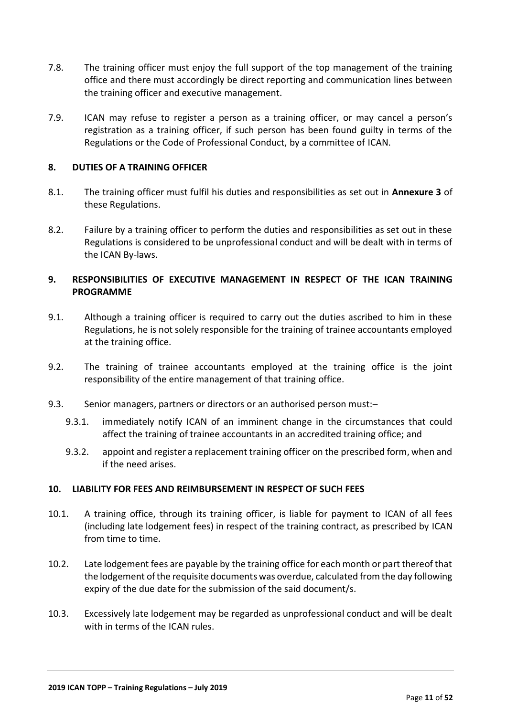- 7.8. The training officer must enjoy the full support of the top management of the training office and there must accordingly be direct reporting and communication lines between the training officer and executive management.
- 7.9. ICAN may refuse to register a person as a training officer, or may cancel a person's registration as a training officer, if such person has been found guilty in terms of the Regulations or the Code of Professional Conduct, by a committee of ICAN.

### **8. DUTIES OF A TRAINING OFFICER**

- 8.1. The training officer must fulfil his duties and responsibilities as set out in **Annexure 3** of these Regulations.
- 8.2. Failure by a training officer to perform the duties and responsibilities as set out in these Regulations is considered to be unprofessional conduct and will be dealt with in terms of the ICAN By-laws.

# **9. RESPONSIBILITIES OF EXECUTIVE MANAGEMENT IN RESPECT OF THE ICAN TRAINING PROGRAMME**

- 9.1. Although a training officer is required to carry out the duties ascribed to him in these Regulations, he is not solely responsible for the training of trainee accountants employed at the training office.
- 9.2. The training of trainee accountants employed at the training office is the joint responsibility of the entire management of that training office.
- 9.3. Senior managers, partners or directors or an authorised person must:-
	- 9.3.1. immediately notify ICAN of an imminent change in the circumstances that could affect the training of trainee accountants in an accredited training office; and
	- 9.3.2. appoint and register a replacement training officer on the prescribed form, when and if the need arises.

# **10. LIABILITY FOR FEES AND REIMBURSEMENT IN RESPECT OF SUCH FEES**

- 10.1. A training office, through its training officer, is liable for payment to ICAN of all fees (including late lodgement fees) in respect of the training contract, as prescribed by ICAN from time to time.
- 10.2. Late lodgement fees are payable by the training office for each month or part thereof that the lodgement of the requisite documents was overdue, calculated from the day following expiry of the due date for the submission of the said document/s.
- 10.3. Excessively late lodgement may be regarded as unprofessional conduct and will be dealt with in terms of the ICAN rules.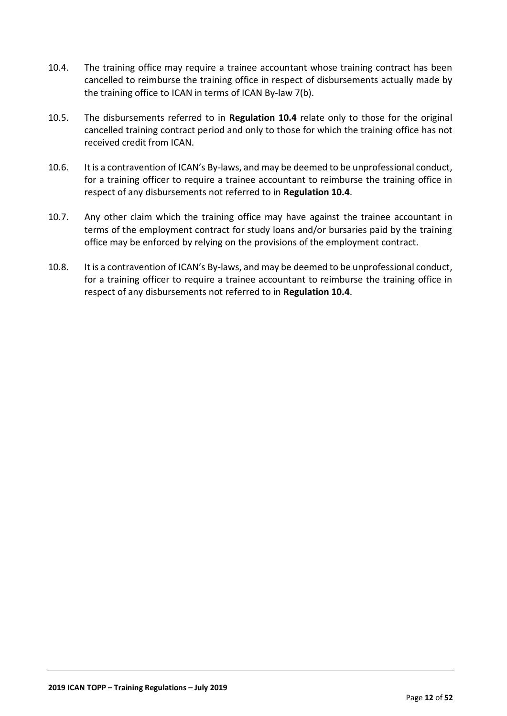- 10.4. The training office may require a trainee accountant whose training contract has been cancelled to reimburse the training office in respect of disbursements actually made by the training office to ICAN in terms of ICAN By-law 7(b).
- 10.5. The disbursements referred to in **Regulation 10.4** relate only to those for the original cancelled training contract period and only to those for which the training office has not received credit from ICAN.
- 10.6. It is a contravention of ICAN's By-laws, and may be deemed to be unprofessional conduct, for a training officer to require a trainee accountant to reimburse the training office in respect of any disbursements not referred to in **Regulation 10.4**.
- 10.7. Any other claim which the training office may have against the trainee accountant in terms of the employment contract for study loans and/or bursaries paid by the training office may be enforced by relying on the provisions of the employment contract.
- 10.8. It is a contravention of ICAN's By-laws, and may be deemed to be unprofessional conduct, for a training officer to require a trainee accountant to reimburse the training office in respect of any disbursements not referred to in **Regulation 10.4**.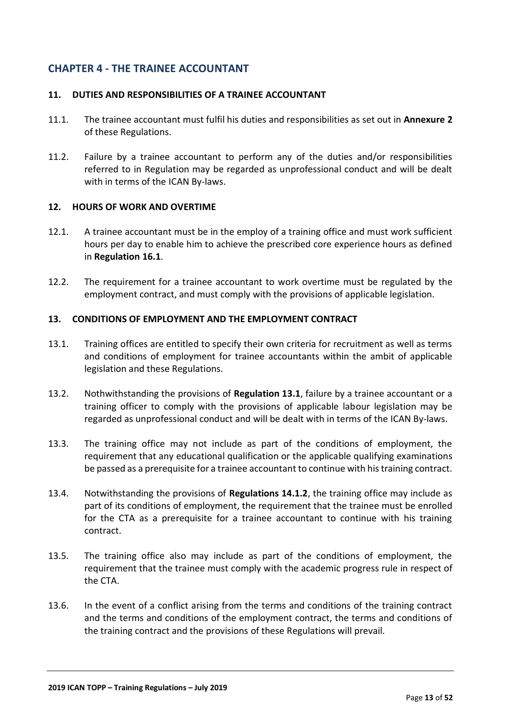# **CHAPTER 4 - THE TRAINEE ACCOUNTANT**

### **11. DUTIES AND RESPONSIBILITIES OF A TRAINEE ACCOUNTANT**

- 11.1. The trainee accountant must fulfil his duties and responsibilities as set out in **Annexure 2** of these Regulations.
- 11.2. Failure by a trainee accountant to perform any of the duties and/or responsibilities referred to in Regulation may be regarded as unprofessional conduct and will be dealt with in terms of the ICAN By-laws.

### **12. HOURS OF WORK AND OVERTIME**

- 12.1. A trainee accountant must be in the employ of a training office and must work sufficient hours per day to enable him to achieve the prescribed core experience hours as defined in **Regulation 16.1**.
- 12.2. The requirement for a trainee accountant to work overtime must be regulated by the employment contract, and must comply with the provisions of applicable legislation.

### **13. CONDITIONS OF EMPLOYMENT AND THE EMPLOYMENT CONTRACT**

- 13.1. Training offices are entitled to specify their own criteria for recruitment as well as terms and conditions of employment for trainee accountants within the ambit of applicable legislation and these Regulations.
- 13.2. Nothwithstanding the provisions of **Regulation 13.1**, failure by a trainee accountant or a training officer to comply with the provisions of applicable labour legislation may be regarded as unprofessional conduct and will be dealt with in terms of the ICAN By-laws.
- 13.3. The training office may not include as part of the conditions of employment, the requirement that any educational qualification or the applicable qualifying examinations be passed as a prerequisite for a trainee accountant to continue with his training contract.
- 13.4. Notwithstanding the provisions of **Regulations 14.1.2**, the training office may include as part of its conditions of employment, the requirement that the trainee must be enrolled for the CTA as a prerequisite for a trainee accountant to continue with his training contract.
- 13.5. The training office also may include as part of the conditions of employment, the requirement that the trainee must comply with the academic progress rule in respect of the CTA.
- 13.6. In the event of a conflict arising from the terms and conditions of the training contract and the terms and conditions of the employment contract, the terms and conditions of the training contract and the provisions of these Regulations will prevail.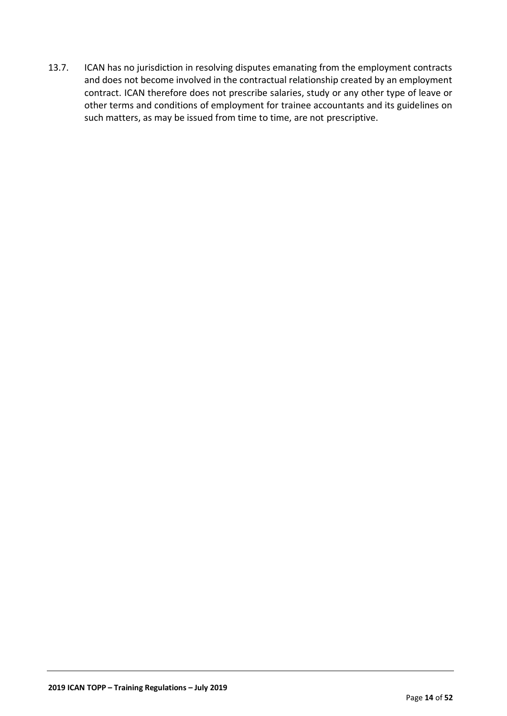13.7. ICAN has no jurisdiction in resolving disputes emanating from the employment contracts and does not become involved in the contractual relationship created by an employment contract. ICAN therefore does not prescribe salaries, study or any other type of leave or other terms and conditions of employment for trainee accountants and its guidelines on such matters, as may be issued from time to time, are not prescriptive.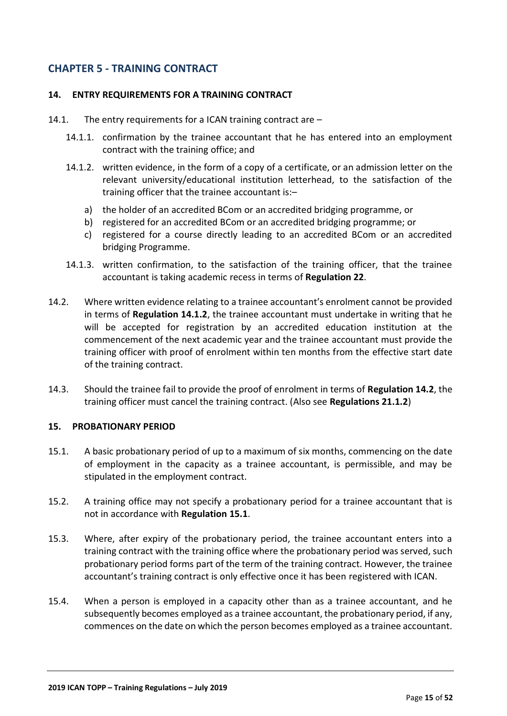# **CHAPTER 5 - TRAINING CONTRACT**

#### **14. ENTRY REQUIREMENTS FOR A TRAINING CONTRACT**

- 14.1. The entry requirements for a ICAN training contract are
	- 14.1.1. confirmation by the trainee accountant that he has entered into an employment contract with the training office; and
	- 14.1.2. written evidence, in the form of a copy of a certificate, or an admission letter on the relevant university/educational institution letterhead, to the satisfaction of the training officer that the trainee accountant is:–
		- a) the holder of an accredited BCom or an accredited bridging programme, or
		- b) registered for an accredited BCom or an accredited bridging programme; or
		- c) registered for a course directly leading to an accredited BCom or an accredited bridging Programme.
	- 14.1.3. written confirmation, to the satisfaction of the training officer, that the trainee accountant is taking academic recess in terms of **Regulation 22**.
- 14.2. Where written evidence relating to a trainee accountant's enrolment cannot be provided in terms of **Regulation 14.1.2**, the trainee accountant must undertake in writing that he will be accepted for registration by an accredited education institution at the commencement of the next academic year and the trainee accountant must provide the training officer with proof of enrolment within ten months from the effective start date of the training contract.
- 14.3. Should the trainee fail to provide the proof of enrolment in terms of **Regulation 14.2**, the training officer must cancel the training contract. (Also see **Regulations 21.1.2**)

### **15. PROBATIONARY PERIOD**

- 15.1. A basic probationary period of up to a maximum of six months, commencing on the date of employment in the capacity as a trainee accountant, is permissible, and may be stipulated in the employment contract.
- 15.2. A training office may not specify a probationary period for a trainee accountant that is not in accordance with **Regulation 15.1**.
- 15.3. Where, after expiry of the probationary period, the trainee accountant enters into a training contract with the training office where the probationary period was served, such probationary period forms part of the term of the training contract. However, the trainee accountant's training contract is only effective once it has been registered with ICAN.
- 15.4. When a person is employed in a capacity other than as a trainee accountant, and he subsequently becomes employed as a trainee accountant, the probationary period, if any, commences on the date on which the person becomes employed as a trainee accountant.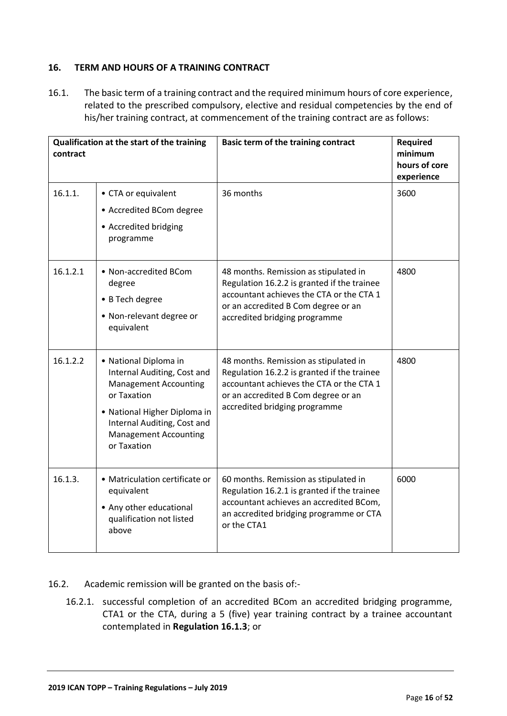# **16. TERM AND HOURS OF A TRAINING CONTRACT**

16.1. The basic term of a training contract and the required minimum hours of core experience, related to the prescribed compulsory, elective and residual competencies by the end of his/her training contract, at commencement of the training contract are as follows:

| contract | Qualification at the start of the training                                                                                                                                                                        | Basic term of the training contract                                                                                                                                                                      | Required<br>minimum<br>hours of core<br>experience |
|----------|-------------------------------------------------------------------------------------------------------------------------------------------------------------------------------------------------------------------|----------------------------------------------------------------------------------------------------------------------------------------------------------------------------------------------------------|----------------------------------------------------|
| 16.1.1.  | • CTA or equivalent<br>• Accredited BCom degree<br>• Accredited bridging<br>programme                                                                                                                             | 36 months                                                                                                                                                                                                | 3600                                               |
| 16.1.2.1 | • Non-accredited BCom<br>degree<br>• B Tech degree<br>• Non-relevant degree or<br>equivalent                                                                                                                      | 48 months. Remission as stipulated in<br>Regulation 16.2.2 is granted if the trainee<br>accountant achieves the CTA or the CTA 1<br>or an accredited B Com degree or an<br>accredited bridging programme | 4800                                               |
| 16.1.2.2 | • National Diploma in<br>Internal Auditing, Cost and<br><b>Management Accounting</b><br>or Taxation<br>• National Higher Diploma in<br>Internal Auditing, Cost and<br><b>Management Accounting</b><br>or Taxation | 48 months. Remission as stipulated in<br>Regulation 16.2.2 is granted if the trainee<br>accountant achieves the CTA or the CTA 1<br>or an accredited B Com degree or an<br>accredited bridging programme | 4800                                               |
| 16.1.3.  | • Matriculation certificate or<br>equivalent<br>• Any other educational<br>qualification not listed<br>above                                                                                                      | 60 months. Remission as stipulated in<br>Regulation 16.2.1 is granted if the trainee<br>accountant achieves an accredited BCom,<br>an accredited bridging programme or CTA<br>or the CTA1                | 6000                                               |

- 16.2. Academic remission will be granted on the basis of:-
	- 16.2.1. successful completion of an accredited BCom an accredited bridging programme, CTA1 or the CTA, during a 5 (five) year training contract by a trainee accountant contemplated in **Regulation 16.1.3**; or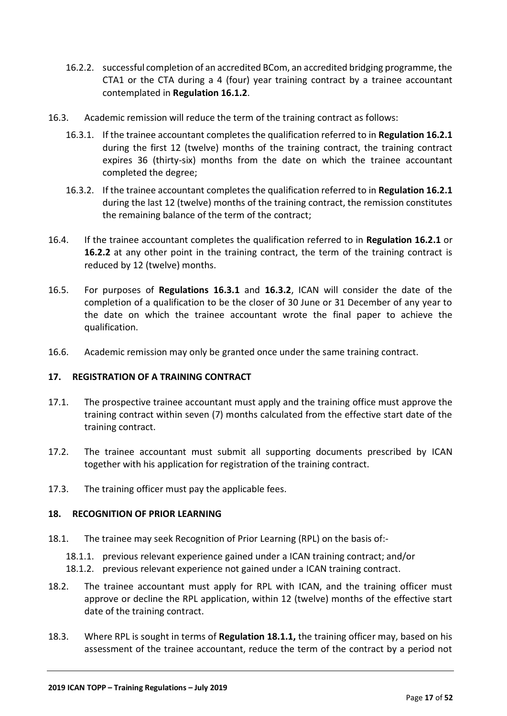- 16.2.2. successful completion of an accredited BCom, an accredited bridging programme, the CTA1 or the CTA during a 4 (four) year training contract by a trainee accountant contemplated in **Regulation 16.1.2**.
- 16.3. Academic remission will reduce the term of the training contract as follows:
	- 16.3.1. If the trainee accountant completes the qualification referred to in **Regulation 16.2.1** during the first 12 (twelve) months of the training contract, the training contract expires 36 (thirty-six) months from the date on which the trainee accountant completed the degree;
	- 16.3.2. If the trainee accountant completes the qualification referred to in **Regulation 16.2.1** during the last 12 (twelve) months of the training contract, the remission constitutes the remaining balance of the term of the contract;
- 16.4. If the trainee accountant completes the qualification referred to in **Regulation 16.2.1** or **16.2.2** at any other point in the training contract, the term of the training contract is reduced by 12 (twelve) months.
- 16.5. For purposes of **Regulations 16.3.1** and **16.3.2**, ICAN will consider the date of the completion of a qualification to be the closer of 30 June or 31 December of any year to the date on which the trainee accountant wrote the final paper to achieve the qualification.
- 16.6. Academic remission may only be granted once under the same training contract.

### **17. REGISTRATION OF A TRAINING CONTRACT**

- 17.1. The prospective trainee accountant must apply and the training office must approve the training contract within seven (7) months calculated from the effective start date of the training contract.
- 17.2. The trainee accountant must submit all supporting documents prescribed by ICAN together with his application for registration of the training contract.
- 17.3. The training officer must pay the applicable fees.

### **18. RECOGNITION OF PRIOR LEARNING**

- 18.1. The trainee may seek Recognition of Prior Learning (RPL) on the basis of:-
	- 18.1.1. previous relevant experience gained under a ICAN training contract; and/or
	- 18.1.2. previous relevant experience not gained under a ICAN training contract.
- 18.2. The trainee accountant must apply for RPL with ICAN, and the training officer must approve or decline the RPL application, within 12 (twelve) months of the effective start date of the training contract.
- 18.3. Where RPL is sought in terms of **Regulation 18.1.1,** the training officer may, based on his assessment of the trainee accountant, reduce the term of the contract by a period not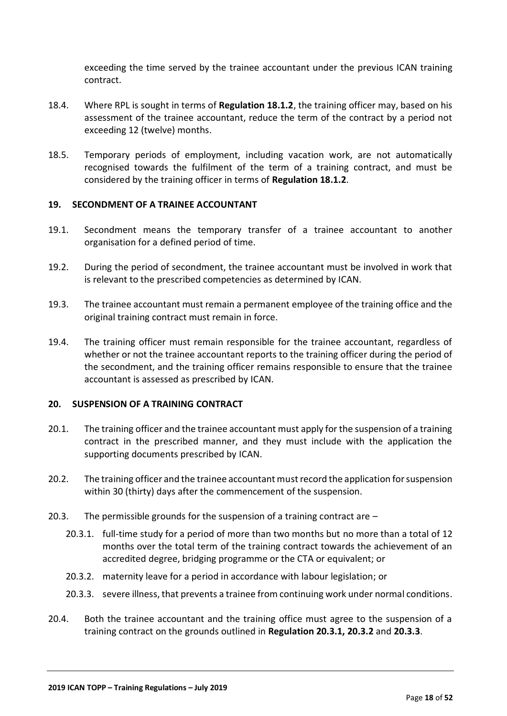exceeding the time served by the trainee accountant under the previous ICAN training contract.

- 18.4. Where RPL is sought in terms of **Regulation 18.1.2**, the training officer may, based on his assessment of the trainee accountant, reduce the term of the contract by a period not exceeding 12 (twelve) months.
- 18.5. Temporary periods of employment, including vacation work, are not automatically recognised towards the fulfilment of the term of a training contract, and must be considered by the training officer in terms of **Regulation 18.1.2**.

# **19. SECONDMENT OF A TRAINEE ACCOUNTANT**

- 19.1. Secondment means the temporary transfer of a trainee accountant to another organisation for a defined period of time.
- 19.2. During the period of secondment, the trainee accountant must be involved in work that is relevant to the prescribed competencies as determined by ICAN.
- 19.3. The trainee accountant must remain a permanent employee of the training office and the original training contract must remain in force.
- 19.4. The training officer must remain responsible for the trainee accountant, regardless of whether or not the trainee accountant reports to the training officer during the period of the secondment, and the training officer remains responsible to ensure that the trainee accountant is assessed as prescribed by ICAN.

### **20. SUSPENSION OF A TRAINING CONTRACT**

- 20.1. The training officer and the trainee accountant must apply for the suspension of a training contract in the prescribed manner, and they must include with the application the supporting documents prescribed by ICAN.
- 20.2. The training officer and the trainee accountant must record the application for suspension within 30 (thirty) days after the commencement of the suspension.
- 20.3. The permissible grounds for the suspension of a training contract are  $-$ 
	- 20.3.1. full-time study for a period of more than two months but no more than a total of 12 months over the total term of the training contract towards the achievement of an accredited degree, bridging programme or the CTA or equivalent; or
	- 20.3.2. maternity leave for a period in accordance with labour legislation; or
	- 20.3.3. severe illness, that prevents a trainee from continuing work under normal conditions.
- 20.4. Both the trainee accountant and the training office must agree to the suspension of a training contract on the grounds outlined in **Regulation 20.3.1, 20.3.2** and **20.3.3**.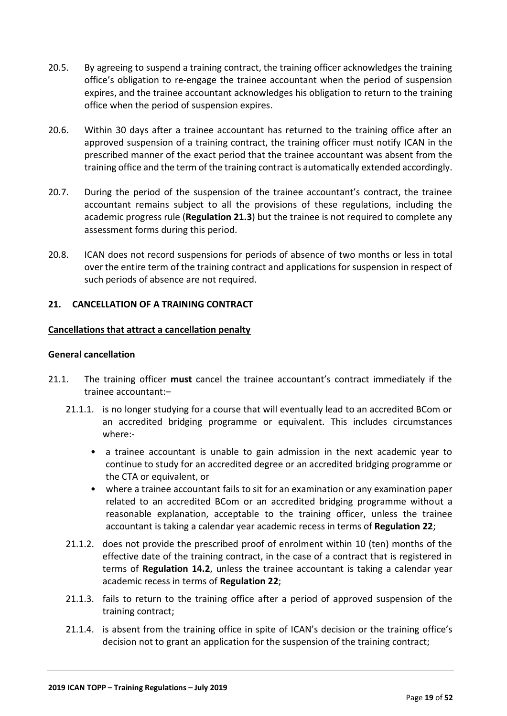- 20.5. By agreeing to suspend a training contract, the training officer acknowledges the training office's obligation to re-engage the trainee accountant when the period of suspension expires, and the trainee accountant acknowledges his obligation to return to the training office when the period of suspension expires.
- 20.6. Within 30 days after a trainee accountant has returned to the training office after an approved suspension of a training contract, the training officer must notify ICAN in the prescribed manner of the exact period that the trainee accountant was absent from the training office and the term of the training contract is automatically extended accordingly.
- 20.7. During the period of the suspension of the trainee accountant's contract, the trainee accountant remains subject to all the provisions of these regulations, including the academic progress rule (**Regulation 21.3**) but the trainee is not required to complete any assessment forms during this period.
- 20.8. ICAN does not record suspensions for periods of absence of two months or less in total over the entire term of the training contract and applications for suspension in respect of such periods of absence are not required.

# **21. CANCELLATION OF A TRAINING CONTRACT**

#### **Cancellations that attract a cancellation penalty**

#### **General cancellation**

- 21.1. The training officer **must** cancel the trainee accountant's contract immediately if the trainee accountant:–
	- 21.1.1. is no longer studying for a course that will eventually lead to an accredited BCom or an accredited bridging programme or equivalent. This includes circumstances where:-
		- a trainee accountant is unable to gain admission in the next academic year to continue to study for an accredited degree or an accredited bridging programme or the CTA or equivalent, or
		- where a trainee accountant fails to sit for an examination or any examination paper related to an accredited BCom or an accredited bridging programme without a reasonable explanation, acceptable to the training officer, unless the trainee accountant is taking a calendar year academic recess in terms of **Regulation 22**;
	- 21.1.2. does not provide the prescribed proof of enrolment within 10 (ten) months of the effective date of the training contract, in the case of a contract that is registered in terms of **Regulation 14.2**, unless the trainee accountant is taking a calendar year academic recess in terms of **Regulation 22**;
	- 21.1.3. fails to return to the training office after a period of approved suspension of the training contract;
	- 21.1.4. is absent from the training office in spite of ICAN's decision or the training office's decision not to grant an application for the suspension of the training contract;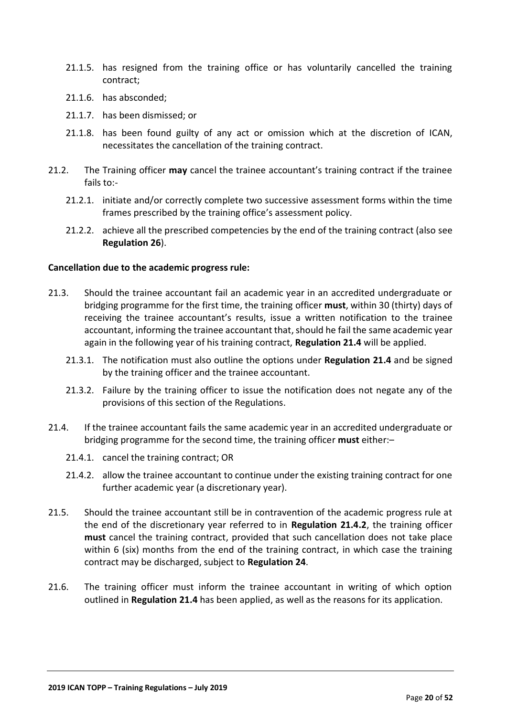- 21.1.5. has resigned from the training office or has voluntarily cancelled the training contract;
- 21.1.6. has absconded;
- 21.1.7. has been dismissed; or
- 21.1.8. has been found guilty of any act or omission which at the discretion of ICAN, necessitates the cancellation of the training contract.
- 21.2. The Training officer **may** cancel the trainee accountant's training contract if the trainee fails to:-
	- 21.2.1. initiate and/or correctly complete two successive assessment forms within the time frames prescribed by the training office's assessment policy.
	- 21.2.2. achieve all the prescribed competencies by the end of the training contract (also see **Regulation 26**).

#### **Cancellation due to the academic progress rule:**

- 21.3. Should the trainee accountant fail an academic year in an accredited undergraduate or bridging programme for the first time, the training officer **must**, within 30 (thirty) days of receiving the trainee accountant's results, issue a written notification to the trainee accountant, informing the trainee accountant that, should he fail the same academic year again in the following year of his training contract, **Regulation 21.4** will be applied.
	- 21.3.1. The notification must also outline the options under **Regulation 21.4** and be signed by the training officer and the trainee accountant.
	- 21.3.2. Failure by the training officer to issue the notification does not negate any of the provisions of this section of the Regulations.
- 21.4. If the trainee accountant fails the same academic year in an accredited undergraduate or bridging programme for the second time, the training officer **must** either:–
	- 21.4.1. cancel the training contract; OR
	- 21.4.2. allow the trainee accountant to continue under the existing training contract for one further academic year (a discretionary year).
- 21.5. Should the trainee accountant still be in contravention of the academic progress rule at the end of the discretionary year referred to in **Regulation 21.4.2**, the training officer **must** cancel the training contract, provided that such cancellation does not take place within 6 (six) months from the end of the training contract, in which case the training contract may be discharged, subject to **Regulation 24**.
- 21.6. The training officer must inform the trainee accountant in writing of which option outlined in **Regulation 21.4** has been applied, as well as the reasons for its application.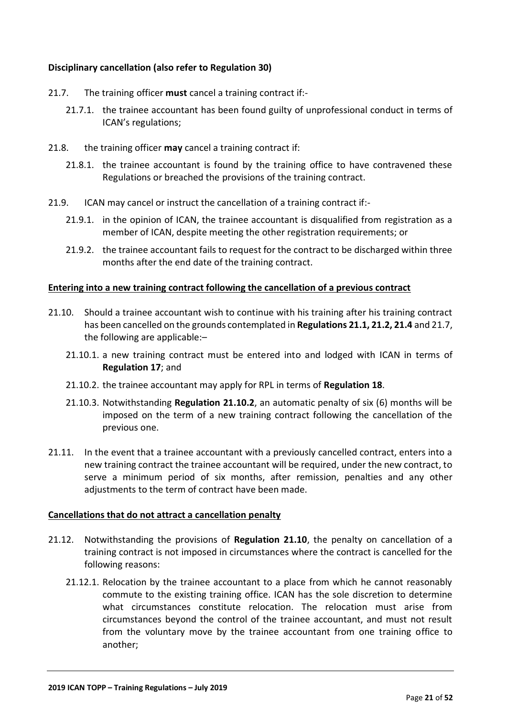# **Disciplinary cancellation (also refer to Regulation 30)**

- 21.7. The training officer **must** cancel a training contract if:-
	- 21.7.1. the trainee accountant has been found guilty of unprofessional conduct in terms of ICAN's regulations;
- 21.8. the training officer **may** cancel a training contract if:
	- 21.8.1. the trainee accountant is found by the training office to have contravened these Regulations or breached the provisions of the training contract.
- 21.9. ICAN may cancel or instruct the cancellation of a training contract if:-
	- 21.9.1. in the opinion of ICAN, the trainee accountant is disqualified from registration as a member of ICAN, despite meeting the other registration requirements; or
	- 21.9.2. the trainee accountant fails to request for the contract to be discharged within three months after the end date of the training contract.

#### **Entering into a new training contract following the cancellation of a previous contract**

- 21.10. Should a trainee accountant wish to continue with his training after his training contract has been cancelled on the grounds contemplated in **Regulations 21.1, 21.2, 21.4** and 21.7, the following are applicable:–
	- 21.10.1. a new training contract must be entered into and lodged with ICAN in terms of **Regulation 17**; and
	- 21.10.2. the trainee accountant may apply for RPL in terms of **Regulation 18**.
	- 21.10.3. Notwithstanding **Regulation 21.10.2**, an automatic penalty of six (6) months will be imposed on the term of a new training contract following the cancellation of the previous one.
- 21.11. In the event that a trainee accountant with a previously cancelled contract, enters into a new training contract the trainee accountant will be required, under the new contract, to serve a minimum period of six months, after remission, penalties and any other adjustments to the term of contract have been made.

#### **Cancellations that do not attract a cancellation penalty**

- 21.12. Notwithstanding the provisions of **Regulation 21.10**, the penalty on cancellation of a training contract is not imposed in circumstances where the contract is cancelled for the following reasons:
	- 21.12.1. Relocation by the trainee accountant to a place from which he cannot reasonably commute to the existing training office. ICAN has the sole discretion to determine what circumstances constitute relocation. The relocation must arise from circumstances beyond the control of the trainee accountant, and must not result from the voluntary move by the trainee accountant from one training office to another;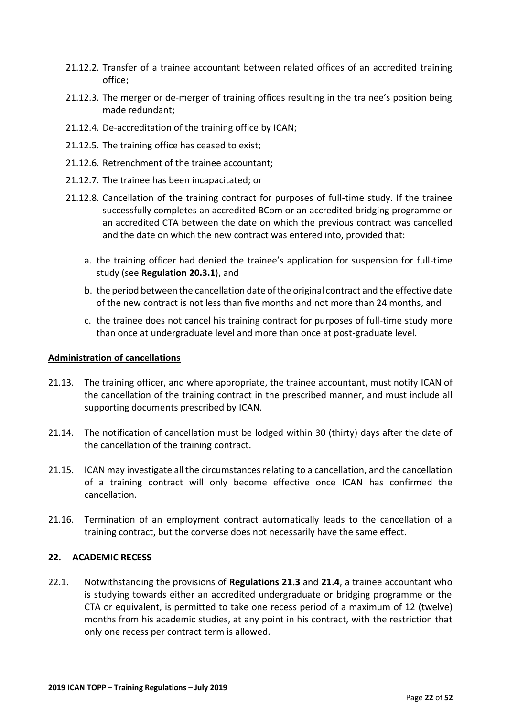- 21.12.2. Transfer of a trainee accountant between related offices of an accredited training office;
- 21.12.3. The merger or de-merger of training offices resulting in the trainee's position being made redundant;
- 21.12.4. De-accreditation of the training office by ICAN;
- 21.12.5. The training office has ceased to exist;
- 21.12.6. Retrenchment of the trainee accountant;
- 21.12.7. The trainee has been incapacitated; or
- 21.12.8. Cancellation of the training contract for purposes of full-time study. If the trainee successfully completes an accredited BCom or an accredited bridging programme or an accredited CTA between the date on which the previous contract was cancelled and the date on which the new contract was entered into, provided that:
	- a. the training officer had denied the trainee's application for suspension for full-time study (see **Regulation 20.3.1**), and
	- b. the period between the cancellation date of the original contract and the effective date of the new contract is not less than five months and not more than 24 months, and
	- c. the trainee does not cancel his training contract for purposes of full-time study more than once at undergraduate level and more than once at post-graduate level.

### **Administration of cancellations**

- 21.13. The training officer, and where appropriate, the trainee accountant, must notify ICAN of the cancellation of the training contract in the prescribed manner, and must include all supporting documents prescribed by ICAN.
- 21.14. The notification of cancellation must be lodged within 30 (thirty) days after the date of the cancellation of the training contract.
- 21.15. ICAN may investigate all the circumstances relating to a cancellation, and the cancellation of a training contract will only become effective once ICAN has confirmed the cancellation.
- 21.16. Termination of an employment contract automatically leads to the cancellation of a training contract, but the converse does not necessarily have the same effect.

### **22. ACADEMIC RECESS**

22.1. Notwithstanding the provisions of **Regulations 21.3** and **21.4**, a trainee accountant who is studying towards either an accredited undergraduate or bridging programme or the CTA or equivalent, is permitted to take one recess period of a maximum of 12 (twelve) months from his academic studies, at any point in his contract, with the restriction that only one recess per contract term is allowed.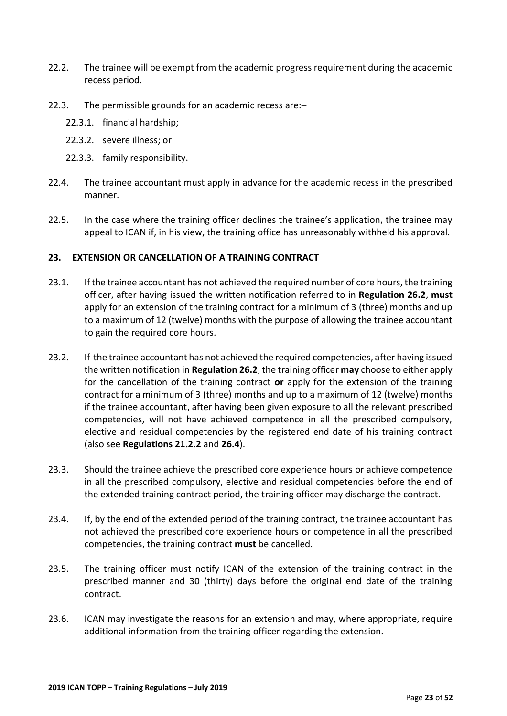- 22.2. The trainee will be exempt from the academic progress requirement during the academic recess period.
- 22.3. The permissible grounds for an academic recess are:–
	- 22.3.1. financial hardship;
	- 22.3.2. severe illness; or
	- 22.3.3. family responsibility.
- 22.4. The trainee accountant must apply in advance for the academic recess in the prescribed manner.
- 22.5. In the case where the training officer declines the trainee's application, the trainee may appeal to ICAN if, in his view, the training office has unreasonably withheld his approval.

# **23. EXTENSION OR CANCELLATION OF A TRAINING CONTRACT**

- 23.1. If the trainee accountant has not achieved the required number of core hours, the training officer, after having issued the written notification referred to in **Regulation 26.2**, **must** apply for an extension of the training contract for a minimum of 3 (three) months and up to a maximum of 12 (twelve) months with the purpose of allowing the trainee accountant to gain the required core hours.
- 23.2. If the trainee accountant has not achieved the required competencies, after having issued the written notification in **Regulation 26.2**, the training officer **may** choose to either apply for the cancellation of the training contract **or** apply for the extension of the training contract for a minimum of 3 (three) months and up to a maximum of 12 (twelve) months if the trainee accountant, after having been given exposure to all the relevant prescribed competencies, will not have achieved competence in all the prescribed compulsory, elective and residual competencies by the registered end date of his training contract (also see **Regulations 21.2.2** and **26.4**).
- 23.3. Should the trainee achieve the prescribed core experience hours or achieve competence in all the prescribed compulsory, elective and residual competencies before the end of the extended training contract period, the training officer may discharge the contract.
- 23.4. If, by the end of the extended period of the training contract, the trainee accountant has not achieved the prescribed core experience hours or competence in all the prescribed competencies, the training contract **must** be cancelled.
- 23.5. The training officer must notify ICAN of the extension of the training contract in the prescribed manner and 30 (thirty) days before the original end date of the training contract.
- 23.6. ICAN may investigate the reasons for an extension and may, where appropriate, require additional information from the training officer regarding the extension.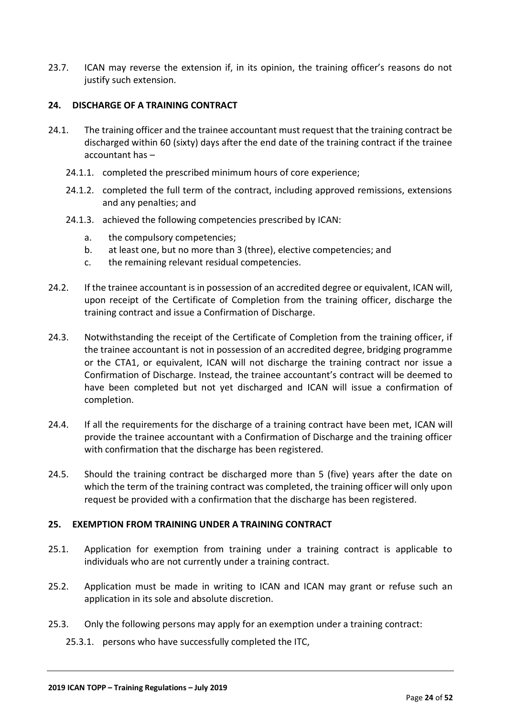23.7. ICAN may reverse the extension if, in its opinion, the training officer's reasons do not justify such extension.

# **24. DISCHARGE OF A TRAINING CONTRACT**

- 24.1. The training officer and the trainee accountant must request that the training contract be discharged within 60 (sixty) days after the end date of the training contract if the trainee accountant has –
	- 24.1.1. completed the prescribed minimum hours of core experience;
	- 24.1.2. completed the full term of the contract, including approved remissions, extensions and any penalties; and
	- 24.1.3. achieved the following competencies prescribed by ICAN:
		- a. the compulsory competencies;
		- b. at least one, but no more than 3 (three), elective competencies; and
		- c. the remaining relevant residual competencies.
- 24.2. If the trainee accountant is in possession of an accredited degree or equivalent, ICAN will, upon receipt of the Certificate of Completion from the training officer, discharge the training contract and issue a Confirmation of Discharge.
- 24.3. Notwithstanding the receipt of the Certificate of Completion from the training officer, if the trainee accountant is not in possession of an accredited degree, bridging programme or the CTA1, or equivalent, ICAN will not discharge the training contract nor issue a Confirmation of Discharge. Instead, the trainee accountant's contract will be deemed to have been completed but not yet discharged and ICAN will issue a confirmation of completion.
- 24.4. If all the requirements for the discharge of a training contract have been met, ICAN will provide the trainee accountant with a Confirmation of Discharge and the training officer with confirmation that the discharge has been registered.
- 24.5. Should the training contract be discharged more than 5 (five) years after the date on which the term of the training contract was completed, the training officer will only upon request be provided with a confirmation that the discharge has been registered.

### **25. EXEMPTION FROM TRAINING UNDER A TRAINING CONTRACT**

- 25.1. Application for exemption from training under a training contract is applicable to individuals who are not currently under a training contract.
- 25.2. Application must be made in writing to ICAN and ICAN may grant or refuse such an application in its sole and absolute discretion.
- 25.3. Only the following persons may apply for an exemption under a training contract:
	- 25.3.1. persons who have successfully completed the ITC,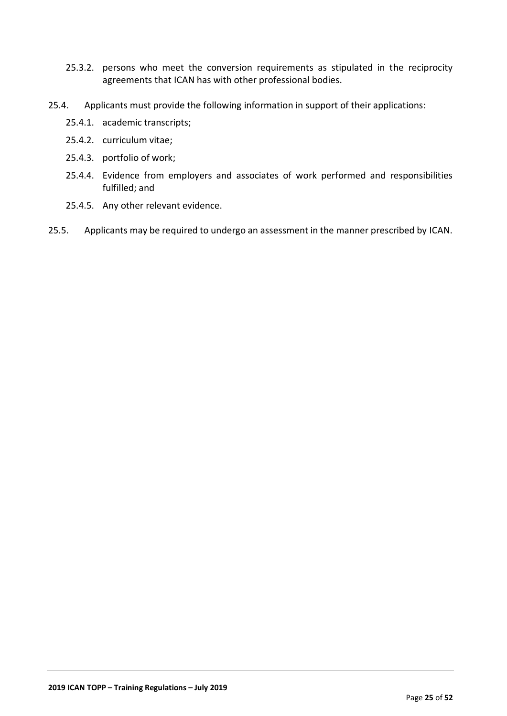- 25.3.2. persons who meet the conversion requirements as stipulated in the reciprocity agreements that ICAN has with other professional bodies.
- 25.4. Applicants must provide the following information in support of their applications:
	- 25.4.1. academic transcripts;
	- 25.4.2. curriculum vitae;
	- 25.4.3. portfolio of work;
	- 25.4.4. Evidence from employers and associates of work performed and responsibilities fulfilled; and
	- 25.4.5. Any other relevant evidence.
- 25.5. Applicants may be required to undergo an assessment in the manner prescribed by ICAN.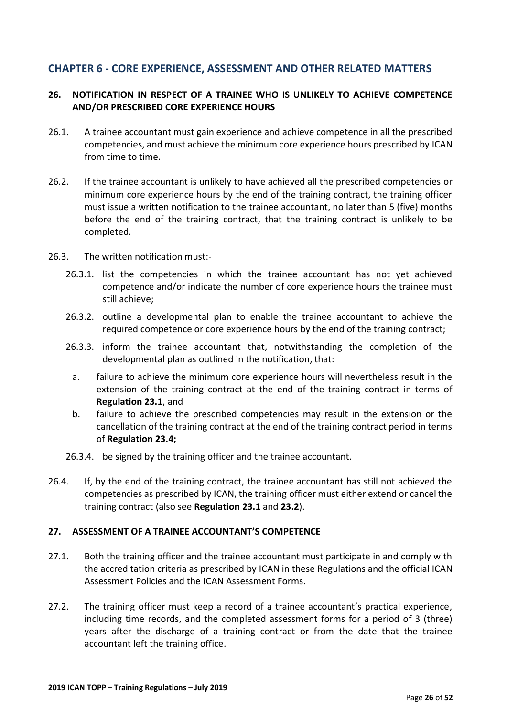# **CHAPTER 6 - CORE EXPERIENCE, ASSESSMENT AND OTHER RELATED MATTERS**

# **26. NOTIFICATION IN RESPECT OF A TRAINEE WHO IS UNLIKELY TO ACHIEVE COMPETENCE AND/OR PRESCRIBED CORE EXPERIENCE HOURS**

- 26.1. A trainee accountant must gain experience and achieve competence in all the prescribed competencies, and must achieve the minimum core experience hours prescribed by ICAN from time to time.
- 26.2. If the trainee accountant is unlikely to have achieved all the prescribed competencies or minimum core experience hours by the end of the training contract, the training officer must issue a written notification to the trainee accountant, no later than 5 (five) months before the end of the training contract, that the training contract is unlikely to be completed.
- 26.3. The written notification must:-
	- 26.3.1. list the competencies in which the trainee accountant has not yet achieved competence and/or indicate the number of core experience hours the trainee must still achieve;
	- 26.3.2. outline a developmental plan to enable the trainee accountant to achieve the required competence or core experience hours by the end of the training contract;
	- 26.3.3. inform the trainee accountant that, notwithstanding the completion of the developmental plan as outlined in the notification, that:
		- a. failure to achieve the minimum core experience hours will nevertheless result in the extension of the training contract at the end of the training contract in terms of **Regulation 23.1**, and
	- b. failure to achieve the prescribed competencies may result in the extension or the cancellation of the training contract at the end of the training contract period in terms of **Regulation 23.4;**
	- 26.3.4. be signed by the training officer and the trainee accountant.
- 26.4. If, by the end of the training contract, the trainee accountant has still not achieved the competencies as prescribed by ICAN, the training officer must either extend or cancel the training contract (also see **Regulation 23.1** and **23.2**).

### **27. ASSESSMENT OF A TRAINEE ACCOUNTANT'S COMPETENCE**

- 27.1. Both the training officer and the trainee accountant must participate in and comply with the accreditation criteria as prescribed by ICAN in these Regulations and the official ICAN Assessment Policies and the ICAN Assessment Forms.
- 27.2. The training officer must keep a record of a trainee accountant's practical experience, including time records, and the completed assessment forms for a period of 3 (three) years after the discharge of a training contract or from the date that the trainee accountant left the training office.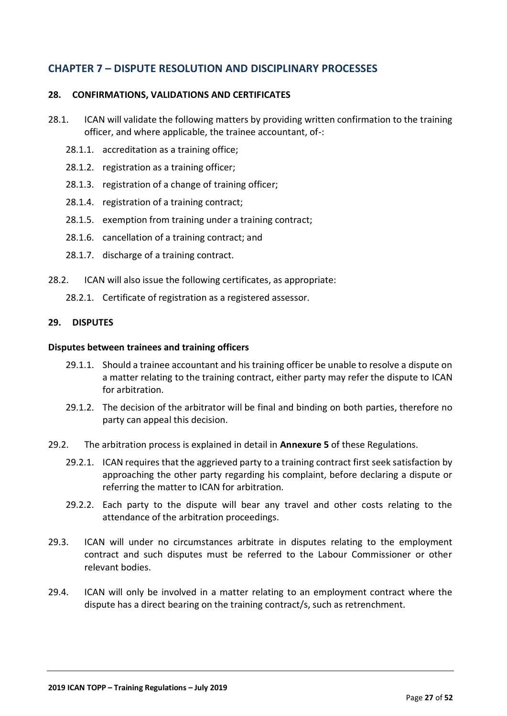# **CHAPTER 7 – DISPUTE RESOLUTION AND DISCIPLINARY PROCESSES**

### **28. CONFIRMATIONS, VALIDATIONS AND CERTIFICATES**

- 28.1. ICAN will validate the following matters by providing written confirmation to the training officer, and where applicable, the trainee accountant, of-:
	- 28.1.1. accreditation as a training office;
	- 28.1.2. registration as a training officer;
	- 28.1.3. registration of a change of training officer;
	- 28.1.4. registration of a training contract;
	- 28.1.5. exemption from training under a training contract;
	- 28.1.6. cancellation of a training contract; and
	- 28.1.7. discharge of a training contract.
- 28.2. ICAN will also issue the following certificates, as appropriate:
	- 28.2.1. Certificate of registration as a registered assessor.

# **29. DISPUTES**

#### **Disputes between trainees and training officers**

- 29.1.1. Should a trainee accountant and his training officer be unable to resolve a dispute on a matter relating to the training contract, either party may refer the dispute to ICAN for arbitration.
- 29.1.2. The decision of the arbitrator will be final and binding on both parties, therefore no party can appeal this decision.
- 29.2. The arbitration process is explained in detail in **Annexure 5** of these Regulations.
	- 29.2.1. ICAN requires that the aggrieved party to a training contract first seek satisfaction by approaching the other party regarding his complaint, before declaring a dispute or referring the matter to ICAN for arbitration.
	- 29.2.2. Each party to the dispute will bear any travel and other costs relating to the attendance of the arbitration proceedings.
- 29.3. ICAN will under no circumstances arbitrate in disputes relating to the employment contract and such disputes must be referred to the Labour Commissioner or other relevant bodies.
- 29.4. ICAN will only be involved in a matter relating to an employment contract where the dispute has a direct bearing on the training contract/s, such as retrenchment.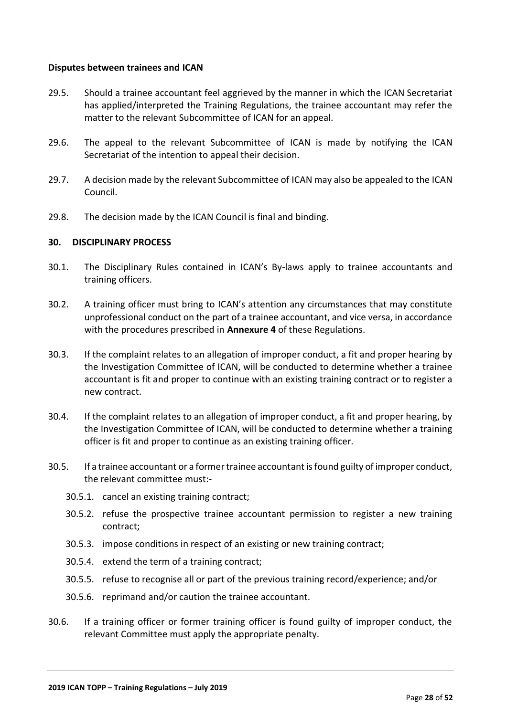### **Disputes between trainees and ICAN**

- 29.5. Should a trainee accountant feel aggrieved by the manner in which the ICAN Secretariat has applied/interpreted the Training Regulations, the trainee accountant may refer the matter to the relevant Subcommittee of ICAN for an appeal.
- 29.6. The appeal to the relevant Subcommittee of ICAN is made by notifying the ICAN Secretariat of the intention to appeal their decision.
- 29.7. A decision made by the relevant Subcommittee of ICAN may also be appealed to the ICAN Council.
- 29.8. The decision made by the ICAN Council is final and binding.

#### **30. DISCIPLINARY PROCESS**

- 30.1. The Disciplinary Rules contained in ICAN's By-laws apply to trainee accountants and training officers.
- 30.2. A training officer must bring to ICAN's attention any circumstances that may constitute unprofessional conduct on the part of a trainee accountant, and vice versa, in accordance with the procedures prescribed in **Annexure 4** of these Regulations.
- 30.3. If the complaint relates to an allegation of improper conduct, a fit and proper hearing by the Investigation Committee of ICAN, will be conducted to determine whether a trainee accountant is fit and proper to continue with an existing training contract or to register a new contract.
- 30.4. If the complaint relates to an allegation of improper conduct, a fit and proper hearing, by the Investigation Committee of ICAN, will be conducted to determine whether a training officer is fit and proper to continue as an existing training officer.
- 30.5. If a trainee accountant or a former trainee accountant is found guilty of improper conduct, the relevant committee must:-
	- 30.5.1. cancel an existing training contract;
	- 30.5.2. refuse the prospective trainee accountant permission to register a new training contract;
	- 30.5.3. impose conditions in respect of an existing or new training contract;
	- 30.5.4. extend the term of a training contract;
	- 30.5.5. refuse to recognise all or part of the previous training record/experience; and/or
	- 30.5.6. reprimand and/or caution the trainee accountant.
- 30.6. If a training officer or former training officer is found guilty of improper conduct, the relevant Committee must apply the appropriate penalty.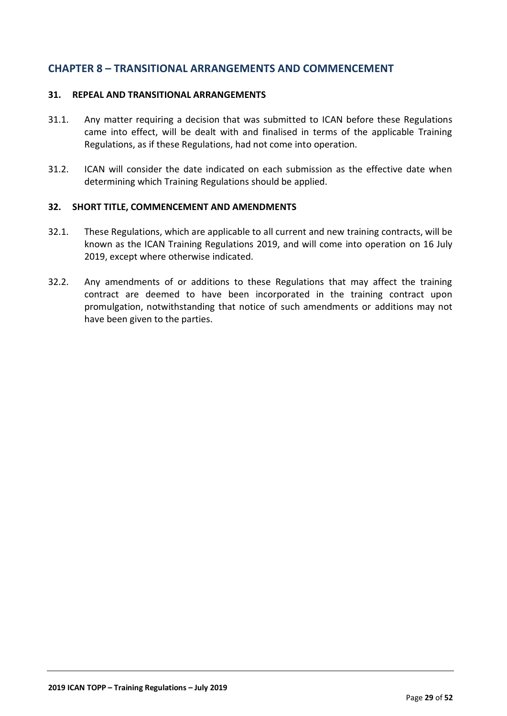# **CHAPTER 8 – TRANSITIONAL ARRANGEMENTS AND COMMENCEMENT**

#### **31. REPEAL AND TRANSITIONAL ARRANGEMENTS**

- 31.1. Any matter requiring a decision that was submitted to ICAN before these Regulations came into effect, will be dealt with and finalised in terms of the applicable Training Regulations, as if these Regulations, had not come into operation.
- 31.2. ICAN will consider the date indicated on each submission as the effective date when determining which Training Regulations should be applied.

### **32. SHORT TITLE, COMMENCEMENT AND AMENDMENTS**

- 32.1. These Regulations, which are applicable to all current and new training contracts, will be known as the ICAN Training Regulations 2019, and will come into operation on 16 July 2019, except where otherwise indicated.
- 32.2. Any amendments of or additions to these Regulations that may affect the training contract are deemed to have been incorporated in the training contract upon promulgation, notwithstanding that notice of such amendments or additions may not have been given to the parties.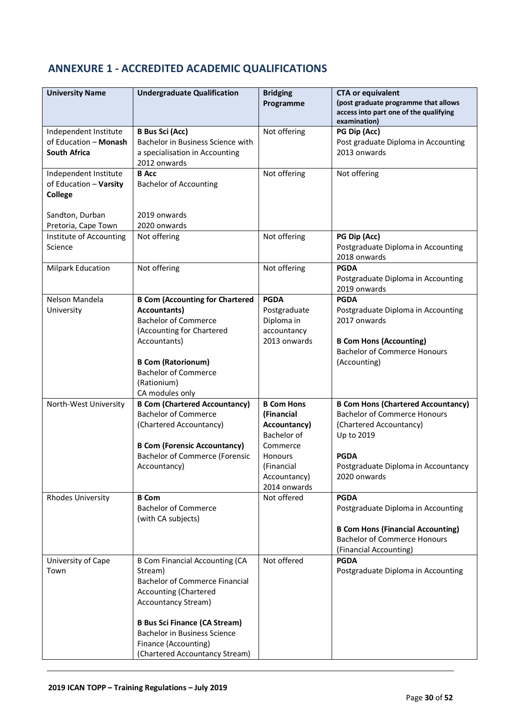# **ANNEXURE 1 - ACCREDITED ACADEMIC QUALIFICATIONS**

| <b>University Name</b>                                                | <b>Undergraduate Qualification</b>                                                                                                                                                             | <b>Bridging</b><br>Programme                                                                                                               | <b>CTA or equivalent</b><br>(post graduate programme that allows<br>access into part one of the qualifying<br>examination)                                                                      |
|-----------------------------------------------------------------------|------------------------------------------------------------------------------------------------------------------------------------------------------------------------------------------------|--------------------------------------------------------------------------------------------------------------------------------------------|-------------------------------------------------------------------------------------------------------------------------------------------------------------------------------------------------|
| Independent Institute<br>of Education - Monash<br><b>South Africa</b> | <b>B Bus Sci (Acc)</b><br>Bachelor in Business Science with<br>a specialisation in Accounting<br>2012 onwards                                                                                  | Not offering                                                                                                                               | PG Dip (Acc)<br>Post graduate Diploma in Accounting<br>2013 onwards                                                                                                                             |
| Independent Institute<br>of Education - Varsity<br><b>College</b>     | <b>B</b> Acc<br><b>Bachelor of Accounting</b>                                                                                                                                                  | Not offering                                                                                                                               | Not offering                                                                                                                                                                                    |
| Sandton, Durban<br>Pretoria, Cape Town                                | 2019 onwards<br>2020 onwards                                                                                                                                                                   |                                                                                                                                            |                                                                                                                                                                                                 |
| Institute of Accounting<br>Science                                    | Not offering                                                                                                                                                                                   | Not offering                                                                                                                               | PG Dip (Acc)<br>Postgraduate Diploma in Accounting<br>2018 onwards                                                                                                                              |
| <b>Milpark Education</b>                                              | Not offering                                                                                                                                                                                   | Not offering                                                                                                                               | <b>PGDA</b><br>Postgraduate Diploma in Accounting<br>2019 onwards                                                                                                                               |
| Nelson Mandela<br>University                                          | <b>B Com (Accounting for Chartered</b><br>Accountants)<br><b>Bachelor of Commerce</b><br>(Accounting for Chartered<br>Accountants)<br><b>B Com (Ratorionum)</b><br><b>Bachelor of Commerce</b> | <b>PGDA</b><br>Postgraduate<br>Diploma in<br>accountancy<br>2013 onwards                                                                   | <b>PGDA</b><br>Postgraduate Diploma in Accounting<br>2017 onwards<br><b>B Com Hons (Accounting)</b><br><b>Bachelor of Commerce Honours</b><br>(Accounting)                                      |
|                                                                       | (Rationium)<br>CA modules only                                                                                                                                                                 |                                                                                                                                            |                                                                                                                                                                                                 |
| North-West University                                                 | <b>B Com (Chartered Accountancy)</b><br><b>Bachelor of Commerce</b><br>(Chartered Accountancy)<br><b>B Com (Forensic Accountancy)</b><br><b>Bachelor of Commerce (Forensic</b><br>Accountancy) | <b>B Com Hons</b><br>(Financial<br>Accountancy)<br>Bachelor of<br>Commerce<br><b>Honours</b><br>(Financial<br>Accountancy)<br>2014 onwards | <b>B Com Hons (Chartered Accountancy)</b><br><b>Bachelor of Commerce Honours</b><br>(Chartered Accountancy)<br>Up to 2019<br><b>PGDA</b><br>Postgraduate Diploma in Accountancy<br>2020 onwards |
| <b>Rhodes University</b>                                              | <b>B</b> Com<br><b>Bachelor of Commerce</b><br>(with CA subjects)                                                                                                                              | Not offered                                                                                                                                | <b>PGDA</b><br>Postgraduate Diploma in Accounting<br><b>B Com Hons (Financial Accounting)</b><br><b>Bachelor of Commerce Honours</b><br>(Financial Accounting)                                  |
| University of Cape<br>Town                                            | <b>B Com Financial Accounting (CA</b><br>Stream)<br><b>Bachelor of Commerce Financial</b><br><b>Accounting (Chartered</b><br>Accountancy Stream)                                               | Not offered                                                                                                                                | <b>PGDA</b><br>Postgraduate Diploma in Accounting                                                                                                                                               |
|                                                                       | <b>B Bus Sci Finance (CA Stream)</b><br><b>Bachelor in Business Science</b><br>Finance (Accounting)<br>(Chartered Accountancy Stream)                                                          |                                                                                                                                            |                                                                                                                                                                                                 |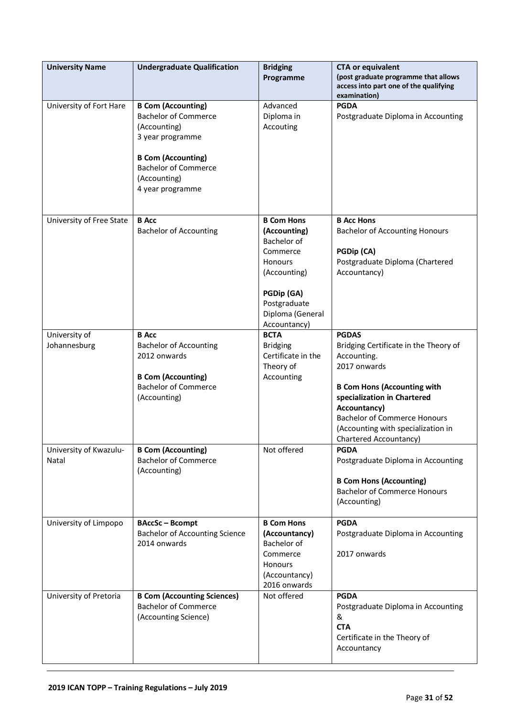| <b>University Name</b>          | <b>Undergraduate Qualification</b>                                                                                                                                                           | <b>Bridging</b><br>Programme                                                                                                                                     | <b>CTA or equivalent</b><br>(post graduate programme that allows<br>access into part one of the qualifying<br>examination)                                                                                                                                                       |
|---------------------------------|----------------------------------------------------------------------------------------------------------------------------------------------------------------------------------------------|------------------------------------------------------------------------------------------------------------------------------------------------------------------|----------------------------------------------------------------------------------------------------------------------------------------------------------------------------------------------------------------------------------------------------------------------------------|
| University of Fort Hare         | <b>B Com (Accounting)</b><br><b>Bachelor of Commerce</b><br>(Accounting)<br>3 year programme<br><b>B Com (Accounting)</b><br><b>Bachelor of Commerce</b><br>(Accounting)<br>4 year programme | Advanced<br>Diploma in<br>Accouting                                                                                                                              | <b>PGDA</b><br>Postgraduate Diploma in Accounting                                                                                                                                                                                                                                |
| University of Free State        | <b>B</b> Acc<br><b>Bachelor of Accounting</b>                                                                                                                                                | <b>B Com Hons</b><br>(Accounting)<br>Bachelor of<br>Commerce<br><b>Honours</b><br>(Accounting)<br>PGDip (GA)<br>Postgraduate<br>Diploma (General<br>Accountancy) | <b>B Acc Hons</b><br><b>Bachelor of Accounting Honours</b><br>PGDip (CA)<br>Postgraduate Diploma (Chartered<br>Accountancy)                                                                                                                                                      |
| University of<br>Johannesburg   | <b>B</b> Acc<br><b>Bachelor of Accounting</b><br>2012 onwards<br><b>B Com (Accounting)</b><br><b>Bachelor of Commerce</b><br>(Accounting)                                                    | <b>BCTA</b><br><b>Bridging</b><br>Certificate in the<br>Theory of<br>Accounting                                                                                  | <b>PGDAS</b><br>Bridging Certificate in the Theory of<br>Accounting.<br>2017 onwards<br><b>B Com Hons (Accounting with</b><br>specialization in Chartered<br>Accountancy)<br><b>Bachelor of Commerce Honours</b><br>(Accounting with specialization in<br>Chartered Accountancy) |
| University of Kwazulu-<br>Natal | <b>B Com (Accounting)</b><br><b>Bachelor of Commerce</b><br>(Accounting)                                                                                                                     | Not offered                                                                                                                                                      | <b>PGDA</b><br>Postgraduate Diploma in Accounting<br><b>B Com Hons (Accounting)</b><br><b>Bachelor of Commerce Honours</b><br>(Accounting)                                                                                                                                       |
| University of Limpopo           | <b>BAccSc-Bcompt</b><br><b>Bachelor of Accounting Science</b><br>2014 onwards                                                                                                                | <b>B Com Hons</b><br>(Accountancy)<br>Bachelor of<br>Commerce<br>Honours<br>(Accountancy)<br>2016 onwards                                                        | <b>PGDA</b><br>Postgraduate Diploma in Accounting<br>2017 onwards                                                                                                                                                                                                                |
| University of Pretoria          | <b>B Com (Accounting Sciences)</b><br><b>Bachelor of Commerce</b><br>(Accounting Science)                                                                                                    | Not offered                                                                                                                                                      | <b>PGDA</b><br>Postgraduate Diploma in Accounting<br>&<br><b>CTA</b><br>Certificate in the Theory of<br>Accountancy                                                                                                                                                              |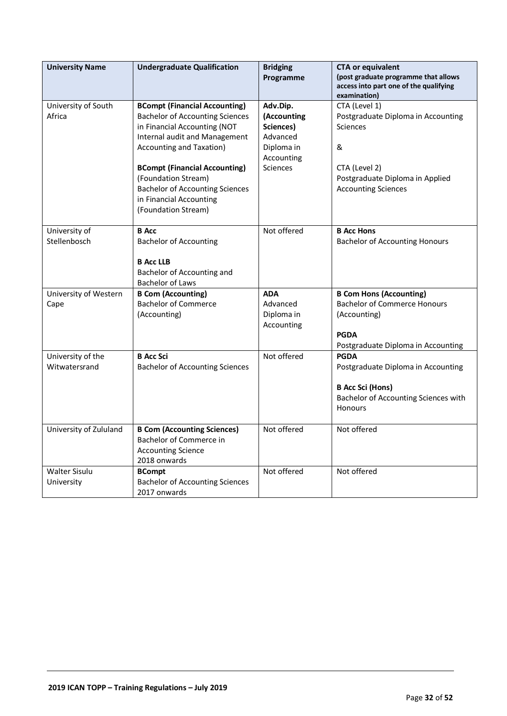| <b>University Name</b>             | <b>Undergraduate Qualification</b>                                                                                                                                                                                                                                                                                                     | <b>Bridging</b><br>Programme                                                                    | <b>CTA or equivalent</b><br>(post graduate programme that allows<br>access into part one of the qualifying<br>examination)                                    |
|------------------------------------|----------------------------------------------------------------------------------------------------------------------------------------------------------------------------------------------------------------------------------------------------------------------------------------------------------------------------------------|-------------------------------------------------------------------------------------------------|---------------------------------------------------------------------------------------------------------------------------------------------------------------|
| University of South<br>Africa      | <b>BCompt (Financial Accounting)</b><br><b>Bachelor of Accounting Sciences</b><br>in Financial Accounting (NOT<br>Internal audit and Management<br>Accounting and Taxation)<br><b>BCompt (Financial Accounting)</b><br>(Foundation Stream)<br><b>Bachelor of Accounting Sciences</b><br>in Financial Accounting<br>(Foundation Stream) | Adv.Dip.<br>(Accounting<br>Sciences)<br>Advanced<br>Diploma in<br>Accounting<br><b>Sciences</b> | CTA (Level 1)<br>Postgraduate Diploma in Accounting<br><b>Sciences</b><br>&<br>CTA (Level 2)<br>Postgraduate Diploma in Applied<br><b>Accounting Sciences</b> |
| University of<br>Stellenbosch      | <b>B</b> Acc<br><b>Bachelor of Accounting</b><br><b>B Acc LLB</b><br>Bachelor of Accounting and<br><b>Bachelor of Laws</b>                                                                                                                                                                                                             | Not offered                                                                                     | <b>B Acc Hons</b><br><b>Bachelor of Accounting Honours</b>                                                                                                    |
| University of Western<br>Cape      | <b>B Com (Accounting)</b><br><b>Bachelor of Commerce</b><br>(Accounting)                                                                                                                                                                                                                                                               | <b>ADA</b><br>Advanced<br>Diploma in<br>Accounting                                              | <b>B Com Hons (Accounting)</b><br><b>Bachelor of Commerce Honours</b><br>(Accounting)<br><b>PGDA</b><br>Postgraduate Diploma in Accounting                    |
| University of the<br>Witwatersrand | <b>B</b> Acc Sci<br><b>Bachelor of Accounting Sciences</b>                                                                                                                                                                                                                                                                             | Not offered                                                                                     | <b>PGDA</b><br>Postgraduate Diploma in Accounting<br><b>B Acc Sci (Hons)</b><br>Bachelor of Accounting Sciences with<br><b>Honours</b>                        |
| University of Zululand             | <b>B Com (Accounting Sciences)</b><br>Bachelor of Commerce in<br><b>Accounting Science</b><br>2018 onwards                                                                                                                                                                                                                             | Not offered                                                                                     | Not offered                                                                                                                                                   |
| <b>Walter Sisulu</b><br>University | <b>BCompt</b><br><b>Bachelor of Accounting Sciences</b><br>2017 onwards                                                                                                                                                                                                                                                                | Not offered                                                                                     | Not offered                                                                                                                                                   |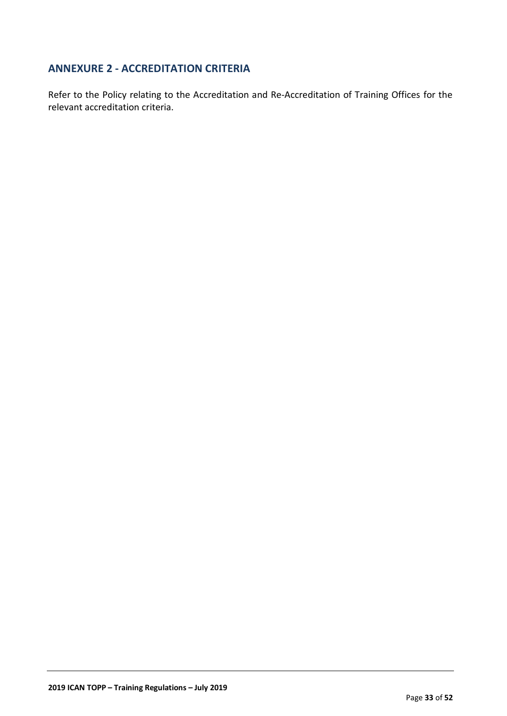# **ANNEXURE 2 - ACCREDITATION CRITERIA**

Refer to the Policy relating to the Accreditation and Re-Accreditation of Training Offices for the relevant accreditation criteria.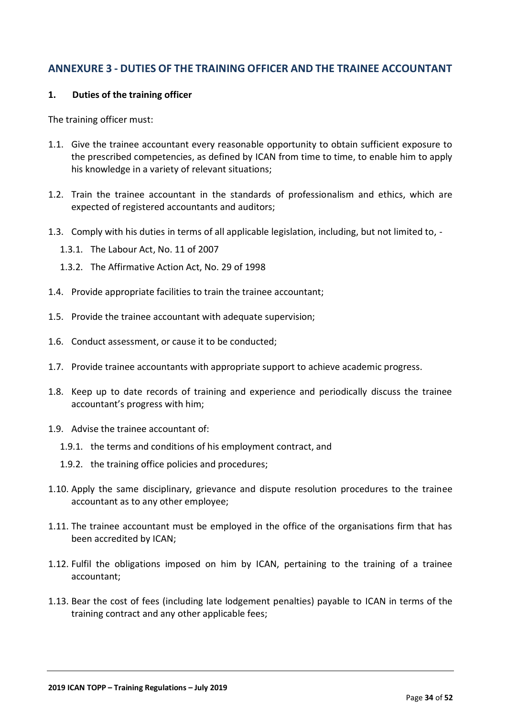# **ANNEXURE 3 - DUTIES OF THE TRAINING OFFICER AND THE TRAINEE ACCOUNTANT**

### **1. Duties of the training officer**

The training officer must:

- 1.1. Give the trainee accountant every reasonable opportunity to obtain sufficient exposure to the prescribed competencies, as defined by ICAN from time to time, to enable him to apply his knowledge in a variety of relevant situations;
- 1.2. Train the trainee accountant in the standards of professionalism and ethics, which are expected of registered accountants and auditors;
- 1.3. Comply with his duties in terms of all applicable legislation, including, but not limited to,
	- 1.3.1. The Labour Act, No. 11 of 2007
	- 1.3.2. The Affirmative Action Act, No. 29 of 1998
- 1.4. Provide appropriate facilities to train the trainee accountant;
- 1.5. Provide the trainee accountant with adequate supervision;
- 1.6. Conduct assessment, or cause it to be conducted;
- 1.7. Provide trainee accountants with appropriate support to achieve academic progress.
- 1.8. Keep up to date records of training and experience and periodically discuss the trainee accountant's progress with him;
- 1.9. Advise the trainee accountant of:
	- 1.9.1. the terms and conditions of his employment contract, and
	- 1.9.2. the training office policies and procedures;
- 1.10. Apply the same disciplinary, grievance and dispute resolution procedures to the trainee accountant as to any other employee;
- 1.11. The trainee accountant must be employed in the office of the organisations firm that has been accredited by ICAN;
- 1.12. Fulfil the obligations imposed on him by ICAN, pertaining to the training of a trainee accountant;
- 1.13. Bear the cost of fees (including late lodgement penalties) payable to ICAN in terms of the training contract and any other applicable fees;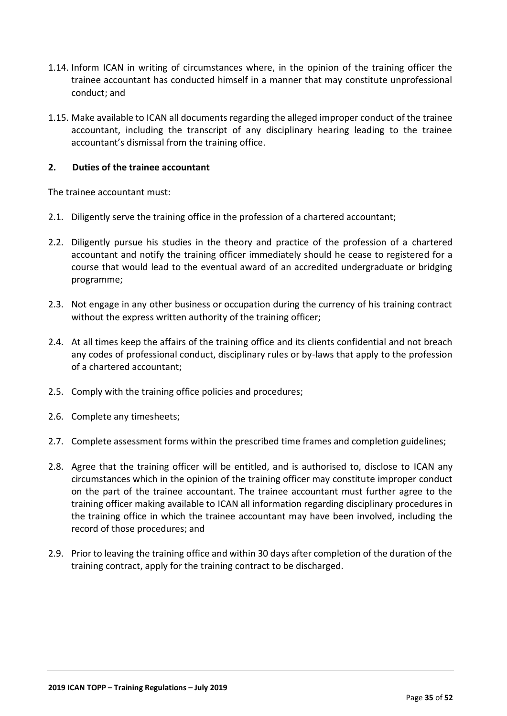- 1.14. Inform ICAN in writing of circumstances where, in the opinion of the training officer the trainee accountant has conducted himself in a manner that may constitute unprofessional conduct; and
- 1.15. Make available to ICAN all documents regarding the alleged improper conduct of the trainee accountant, including the transcript of any disciplinary hearing leading to the trainee accountant's dismissal from the training office.

### **2. Duties of the trainee accountant**

The trainee accountant must:

- 2.1. Diligently serve the training office in the profession of a chartered accountant;
- 2.2. Diligently pursue his studies in the theory and practice of the profession of a chartered accountant and notify the training officer immediately should he cease to registered for a course that would lead to the eventual award of an accredited undergraduate or bridging programme;
- 2.3. Not engage in any other business or occupation during the currency of his training contract without the express written authority of the training officer;
- 2.4. At all times keep the affairs of the training office and its clients confidential and not breach any codes of professional conduct, disciplinary rules or by-laws that apply to the profession of a chartered accountant;
- 2.5. Comply with the training office policies and procedures;
- 2.6. Complete any timesheets;
- 2.7. Complete assessment forms within the prescribed time frames and completion guidelines;
- 2.8. Agree that the training officer will be entitled, and is authorised to, disclose to ICAN any circumstances which in the opinion of the training officer may constitute improper conduct on the part of the trainee accountant. The trainee accountant must further agree to the training officer making available to ICAN all information regarding disciplinary procedures in the training office in which the trainee accountant may have been involved, including the record of those procedures; and
- 2.9. Prior to leaving the training office and within 30 days after completion of the duration of the training contract, apply for the training contract to be discharged.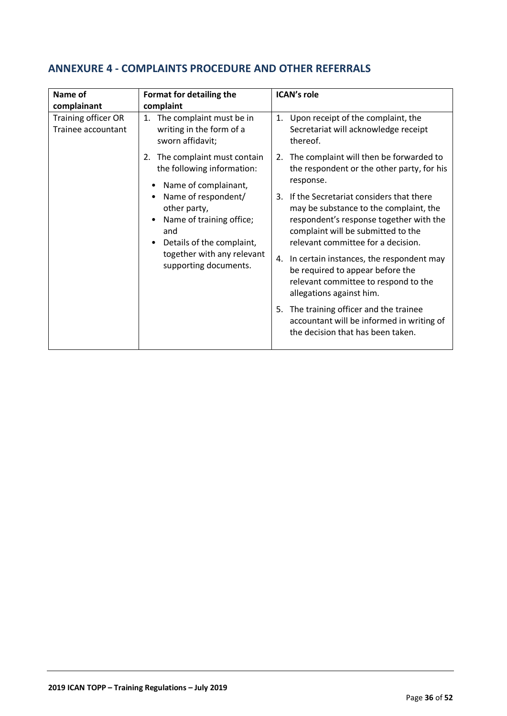# **ANNEXURE 4 - COMPLAINTS PROCEDURE AND OTHER REFERRALS**

| Name of                                                                                                                                                                                                                                                                                                                                                                                                                                 | Format for detailing the                                                                                                                                                                                                                                         | <b>ICAN's role</b>                                                                                                           |
|-----------------------------------------------------------------------------------------------------------------------------------------------------------------------------------------------------------------------------------------------------------------------------------------------------------------------------------------------------------------------------------------------------------------------------------------|------------------------------------------------------------------------------------------------------------------------------------------------------------------------------------------------------------------------------------------------------------------|------------------------------------------------------------------------------------------------------------------------------|
| complainant                                                                                                                                                                                                                                                                                                                                                                                                                             | complaint                                                                                                                                                                                                                                                        |                                                                                                                              |
| Training officer OR<br>The complaint must be in<br>1.<br>Trainee accountant<br>writing in the form of a<br>sworn affidavit;<br>The complaint must contain<br>2.<br>the following information:<br>Name of complainant,<br>$\bullet$<br>Name of respondent/<br>$\bullet$<br>other party,<br>Name of training office;<br>$\bullet$<br>and<br>Details of the complaint,<br>$\bullet$<br>together with any relevant<br>supporting documents. |                                                                                                                                                                                                                                                                  | Upon receipt of the complaint, the<br>1.<br>Secretariat will acknowledge receipt<br>thereof.                                 |
|                                                                                                                                                                                                                                                                                                                                                                                                                                         | The complaint will then be forwarded to<br>2.<br>the respondent or the other party, for his<br>response.                                                                                                                                                         |                                                                                                                              |
|                                                                                                                                                                                                                                                                                                                                                                                                                                         | If the Secretariat considers that there<br>3.<br>may be substance to the complaint, the<br>respondent's response together with the<br>complaint will be submitted to the<br>relevant committee for a decision.<br>In certain instances, the respondent may<br>4. |                                                                                                                              |
|                                                                                                                                                                                                                                                                                                                                                                                                                                         | be required to appear before the<br>relevant committee to respond to the<br>allegations against him.                                                                                                                                                             |                                                                                                                              |
|                                                                                                                                                                                                                                                                                                                                                                                                                                         |                                                                                                                                                                                                                                                                  | The training officer and the trainee<br>5.<br>accountant will be informed in writing of<br>the decision that has been taken. |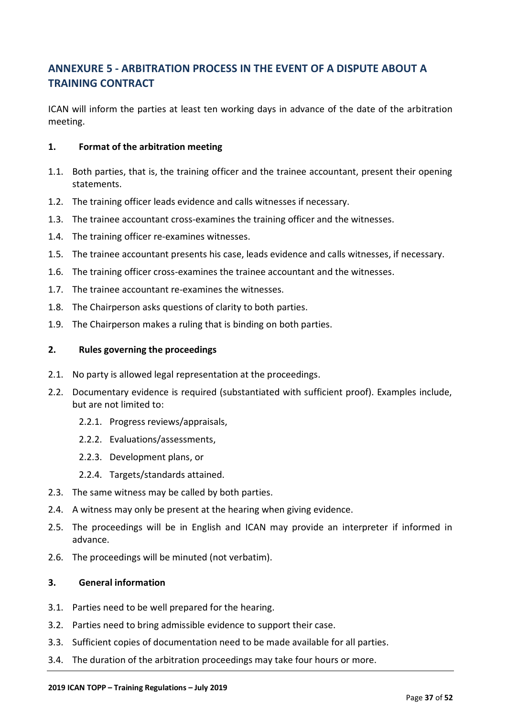# **ANNEXURE 5 - ARBITRATION PROCESS IN THE EVENT OF A DISPUTE ABOUT A TRAINING CONTRACT**

ICAN will inform the parties at least ten working days in advance of the date of the arbitration meeting.

# **1. Format of the arbitration meeting**

- 1.1. Both parties, that is, the training officer and the trainee accountant, present their opening statements.
- 1.2. The training officer leads evidence and calls witnesses if necessary.
- 1.3. The trainee accountant cross-examines the training officer and the witnesses.
- 1.4. The training officer re-examines witnesses.
- 1.5. The trainee accountant presents his case, leads evidence and calls witnesses, if necessary.
- 1.6. The training officer cross-examines the trainee accountant and the witnesses.
- 1.7. The trainee accountant re-examines the witnesses.
- 1.8. The Chairperson asks questions of clarity to both parties.
- 1.9. The Chairperson makes a ruling that is binding on both parties.

### **2. Rules governing the proceedings**

- 2.1. No party is allowed legal representation at the proceedings.
- 2.2. Documentary evidence is required (substantiated with sufficient proof). Examples include, but are not limited to:
	- 2.2.1. Progress reviews/appraisals,
	- 2.2.2. Evaluations/assessments,
	- 2.2.3. Development plans, or
	- 2.2.4. Targets/standards attained.
- 2.3. The same witness may be called by both parties.
- 2.4. A witness may only be present at the hearing when giving evidence.
- 2.5. The proceedings will be in English and ICAN may provide an interpreter if informed in advance.
- 2.6. The proceedings will be minuted (not verbatim).

### **3. General information**

- 3.1. Parties need to be well prepared for the hearing.
- 3.2. Parties need to bring admissible evidence to support their case.
- 3.3. Sufficient copies of documentation need to be made available for all parties.
- 3.4. The duration of the arbitration proceedings may take four hours or more.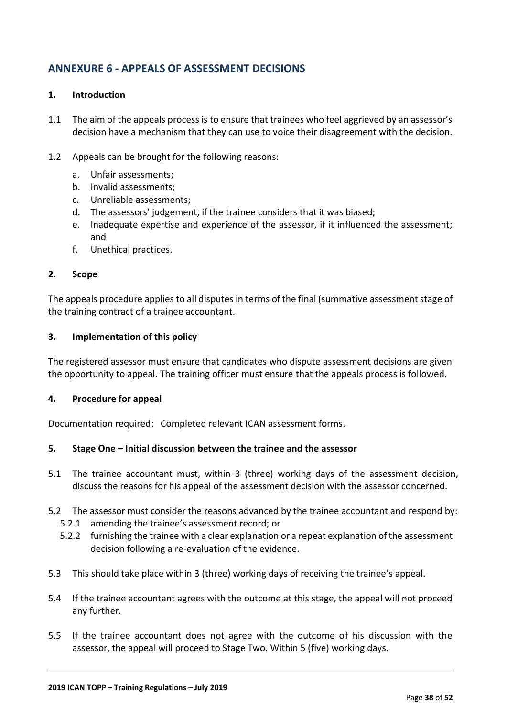# **ANNEXURE 6 - APPEALS OF ASSESSMENT DECISIONS**

### **1. Introduction**

- 1.1 The aim of the appeals process is to ensure that trainees who feel aggrieved by an assessor's decision have a mechanism that they can use to voice their disagreement with the decision.
- 1.2 Appeals can be brought for the following reasons:
	- a. Unfair assessments;
	- b. Invalid assessments;
	- c. Unreliable assessments;
	- d. The assessors' judgement, if the trainee considers that it was biased;
	- e. Inadequate expertise and experience of the assessor, if it influenced the assessment; and
	- f. Unethical practices.

#### **2. Scope**

The appeals procedure applies to all disputes in terms of the final (summative assessment stage of the training contract of a trainee accountant.

#### **3. Implementation of this policy**

The registered assessor must ensure that candidates who dispute assessment decisions are given the opportunity to appeal. The training officer must ensure that the appeals process is followed.

#### **4. Procedure for appeal**

Documentation required: Completed relevant ICAN assessment forms.

#### **5. Stage One – Initial discussion between the trainee and the assessor**

- 5.1 The trainee accountant must, within 3 (three) working days of the assessment decision, discuss the reasons for his appeal of the assessment decision with the assessor concerned.
- 5.2 The assessor must consider the reasons advanced by the trainee accountant and respond by:
	- 5.2.1 amending the trainee's assessment record; or
	- 5.2.2 furnishing the trainee with a clear explanation or a repeat explanation of the assessment decision following a re-evaluation of the evidence.
- 5.3 This should take place within 3 (three) working days of receiving the trainee's appeal.
- 5.4 If the trainee accountant agrees with the outcome at this stage, the appeal will not proceed any further.
- 5.5 If the trainee accountant does not agree with the outcome of his discussion with the assessor, the appeal will proceed to Stage Two. Within 5 (five) working days.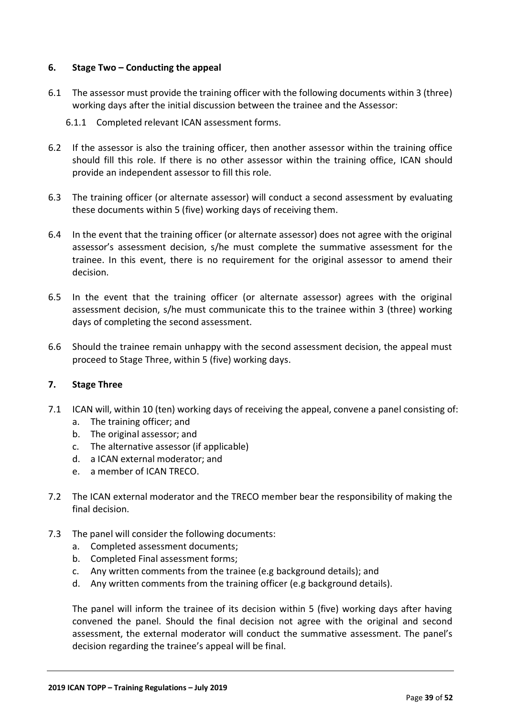# **6. Stage Two – Conducting the appeal**

- 6.1 The assessor must provide the training officer with the following documents within 3 (three) working days after the initial discussion between the trainee and the Assessor:
	- 6.1.1 Completed relevant ICAN assessment forms.
- 6.2 If the assessor is also the training officer, then another assessor within the training office should fill this role. If there is no other assessor within the training office, ICAN should provide an independent assessor to fill this role.
- 6.3 The training officer (or alternate assessor) will conduct a second assessment by evaluating these documents within 5 (five) working days of receiving them.
- 6.4 In the event that the training officer (or alternate assessor) does not agree with the original assessor's assessment decision, s/he must complete the summative assessment for the trainee. In this event, there is no requirement for the original assessor to amend their decision.
- 6.5 In the event that the training officer (or alternate assessor) agrees with the original assessment decision, s/he must communicate this to the trainee within 3 (three) working days of completing the second assessment.
- 6.6 Should the trainee remain unhappy with the second assessment decision, the appeal must proceed to Stage Three, within 5 (five) working days.

# **7. Stage Three**

- 7.1 ICAN will, within 10 (ten) working days of receiving the appeal, convene a panel consisting of:
	- a. The training officer; and
	- b. The original assessor; and
	- c. The alternative assessor (if applicable)
	- d. a ICAN external moderator; and
	- e. a member of ICAN TRECO.
- 7.2 The ICAN external moderator and the TRECO member bear the responsibility of making the final decision.
- 7.3 The panel will consider the following documents:
	- a. Completed assessment documents;
	- b. Completed Final assessment forms;
	- c. Any written comments from the trainee (e.g background details); and
	- d. Any written comments from the training officer (e.g background details).

The panel will inform the trainee of its decision within 5 (five) working days after having convened the panel. Should the final decision not agree with the original and second assessment, the external moderator will conduct the summative assessment. The panel's decision regarding the trainee's appeal will be final.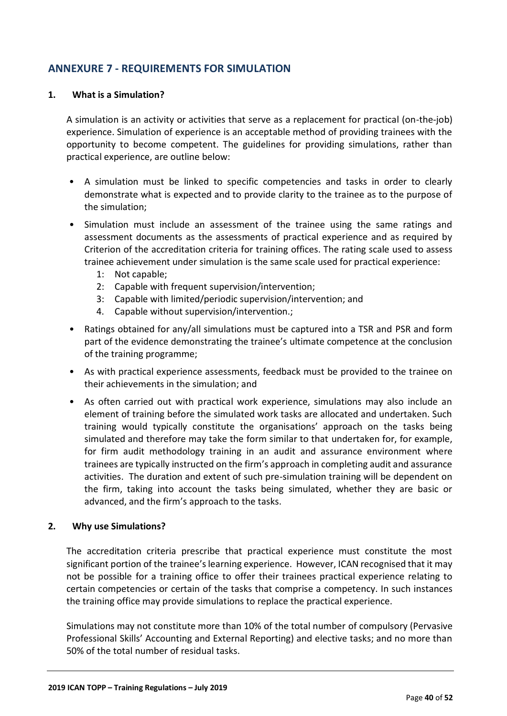# **ANNEXURE 7 - REQUIREMENTS FOR SIMULATION**

### **1. What is a Simulation?**

A simulation is an activity or activities that serve as a replacement for practical (on-the-job) experience. Simulation of experience is an acceptable method of providing trainees with the opportunity to become competent. The guidelines for providing simulations, rather than practical experience, are outline below:

- A simulation must be linked to specific competencies and tasks in order to clearly demonstrate what is expected and to provide clarity to the trainee as to the purpose of the simulation;
- Simulation must include an assessment of the trainee using the same ratings and assessment documents as the assessments of practical experience and as required by Criterion of the accreditation criteria for training offices. The rating scale used to assess trainee achievement under simulation is the same scale used for practical experience:
	- 1: Not capable;
	- 2: Capable with frequent supervision/intervention;
	- 3: Capable with limited/periodic supervision/intervention; and
	- 4. Capable without supervision/intervention.;
- Ratings obtained for any/all simulations must be captured into a TSR and PSR and form part of the evidence demonstrating the trainee's ultimate competence at the conclusion of the training programme;
- As with practical experience assessments, feedback must be provided to the trainee on their achievements in the simulation; and
- As often carried out with practical work experience, simulations may also include an element of training before the simulated work tasks are allocated and undertaken. Such training would typically constitute the organisations' approach on the tasks being simulated and therefore may take the form similar to that undertaken for, for example, for firm audit methodology training in an audit and assurance environment where trainees are typically instructed on the firm's approach in completing audit and assurance activities. The duration and extent of such pre-simulation training will be dependent on the firm, taking into account the tasks being simulated, whether they are basic or advanced, and the firm's approach to the tasks.

### **2. Why use Simulations?**

The accreditation criteria prescribe that practical experience must constitute the most significant portion of the trainee's learning experience. However, ICAN recognised that it may not be possible for a training office to offer their trainees practical experience relating to certain competencies or certain of the tasks that comprise a competency. In such instances the training office may provide simulations to replace the practical experience.

Simulations may not constitute more than 10% of the total number of compulsory (Pervasive Professional Skills' Accounting and External Reporting) and elective tasks; and no more than 50% of the total number of residual tasks.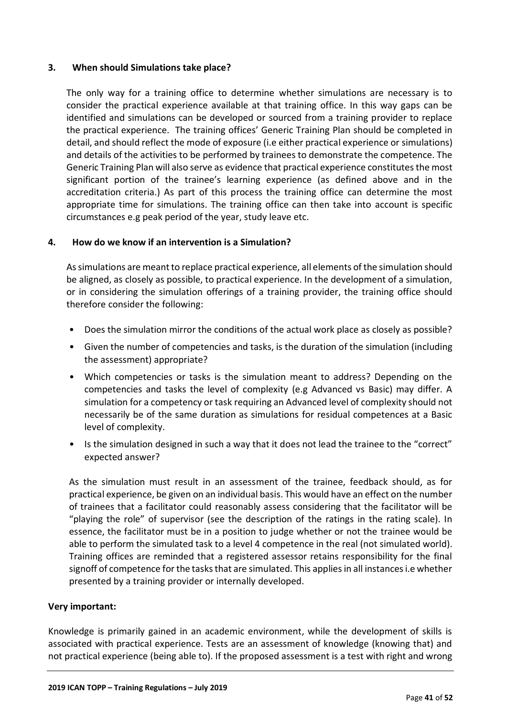# **3. When should Simulations take place?**

The only way for a training office to determine whether simulations are necessary is to consider the practical experience available at that training office. In this way gaps can be identified and simulations can be developed or sourced from a training provider to replace the practical experience. The training offices' Generic Training Plan should be completed in detail, and should reflect the mode of exposure (i.e either practical experience or simulations) and details of the activities to be performed by trainees to demonstrate the competence. The Generic Training Plan will also serve as evidence that practical experience constitutes the most significant portion of the trainee's learning experience (as defined above and in the accreditation criteria.) As part of this process the training office can determine the most appropriate time for simulations. The training office can then take into account is specific circumstances e.g peak period of the year, study leave etc.

# **4. How do we know if an intervention is a Simulation?**

As simulations are meant to replace practical experience, all elements of the simulation should be aligned, as closely as possible, to practical experience. In the development of a simulation, or in considering the simulation offerings of a training provider, the training office should therefore consider the following:

- Does the simulation mirror the conditions of the actual work place as closely as possible?
- Given the number of competencies and tasks, is the duration of the simulation (including the assessment) appropriate?
- Which competencies or tasks is the simulation meant to address? Depending on the competencies and tasks the level of complexity (e.g Advanced vs Basic) may differ. A simulation for a competency or task requiring an Advanced level of complexity should not necessarily be of the same duration as simulations for residual competences at a Basic level of complexity.
- Is the simulation designed in such a way that it does not lead the trainee to the "correct" expected answer?

As the simulation must result in an assessment of the trainee, feedback should, as for practical experience, be given on an individual basis. This would have an effect on the number of trainees that a facilitator could reasonably assess considering that the facilitator will be "playing the role" of supervisor (see the description of the ratings in the rating scale). In essence, the facilitator must be in a position to judge whether or not the trainee would be able to perform the simulated task to a level 4 competence in the real (not simulated world). Training offices are reminded that a registered assessor retains responsibility for the final signoff of competence for the tasks that are simulated. This applies in all instances i.e whether presented by a training provider or internally developed.

### **Very important:**

Knowledge is primarily gained in an academic environment, while the development of skills is associated with practical experience. Tests are an assessment of knowledge (knowing that) and not practical experience (being able to). If the proposed assessment is a test with right and wrong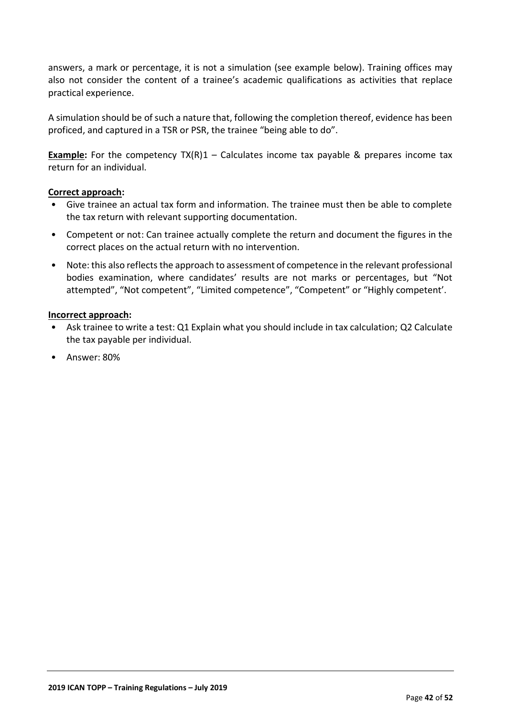answers, a mark or percentage, it is not a simulation (see example below). Training offices may also not consider the content of a trainee's academic qualifications as activities that replace practical experience.

A simulation should be of such a nature that, following the completion thereof, evidence has been proficed, and captured in a TSR or PSR, the trainee "being able to do".

**Example:** For the competency  $TX(R)1 - Calculates income tax payable & preparse income tax$ return for an individual.

# **Correct approach:**

- Give trainee an actual tax form and information. The trainee must then be able to complete the tax return with relevant supporting documentation.
- Competent or not: Can trainee actually complete the return and document the figures in the correct places on the actual return with no intervention.
- Note: this also reflects the approach to assessment of competence in the relevant professional bodies examination, where candidates' results are not marks or percentages, but "Not attempted", "Not competent", "Limited competence", "Competent" or "Highly competent'.

#### **Incorrect approach:**

- Ask trainee to write a test: Q1 Explain what you should include in tax calculation; Q2 Calculate the tax payable per individual.
- Answer: 80%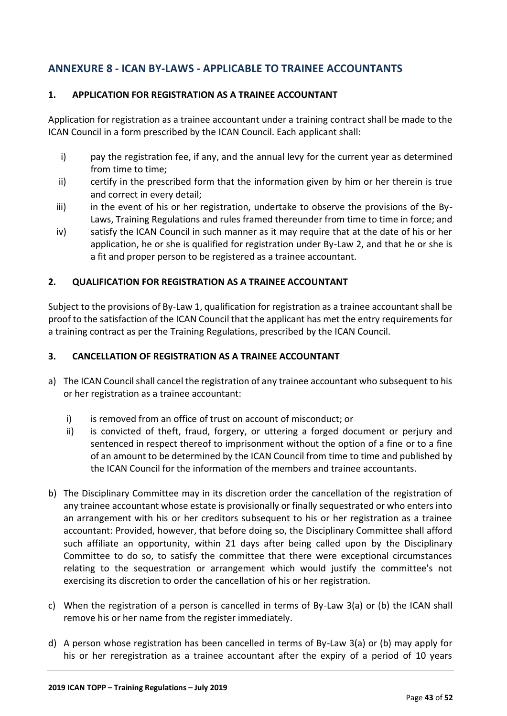# **ANNEXURE 8 - ICAN BY-LAWS - APPLICABLE TO TRAINEE ACCOUNTANTS**

### **1. APPLICATION FOR REGISTRATION AS A TRAINEE ACCOUNTANT**

Application for registration as a trainee accountant under a training contract shall be made to the ICAN Council in a form prescribed by the ICAN Council. Each applicant shall:

- i) pay the registration fee, if any, and the annual levy for the current year as determined from time to time;
- ii) certify in the prescribed form that the information given by him or her therein is true and correct in every detail;
- $\frac{1}{10}$  in the event of his or her registration, undertake to observe the provisions of the By-Laws, Training Regulations and rules framed thereunder from time to time in force; and
- iv) satisfy the ICAN Council in such manner as it may require that at the date of his or her application, he or she is qualified for registration under By-Law 2, and that he or she is a fit and proper person to be registered as a trainee accountant.

# **2. QUALIFICATION FOR REGISTRATION AS A TRAINEE ACCOUNTANT**

Subject to the provisions of By-Law 1, qualification for registration as a trainee accountant shall be proof to the satisfaction of the ICAN Council that the applicant has met the entry requirements for a training contract as per the Training Regulations, prescribed by the ICAN Council.

# **3. CANCELLATION OF REGISTRATION AS A TRAINEE ACCOUNTANT**

- a) The ICAN Council shall cancel the registration of any trainee accountant who subsequent to his or her registration as a trainee accountant:
	- i) is removed from an office of trust on account of misconduct; or
	- ii) is convicted of theft, fraud, forgery, or uttering a forged document or perjury and sentenced in respect thereof to imprisonment without the option of a fine or to a fine of an amount to be determined by the ICAN Council from time to time and published by the ICAN Council for the information of the members and trainee accountants.
- b) The Disciplinary Committee may in its discretion order the cancellation of the registration of any trainee accountant whose estate is provisionally or finally sequestrated or who enters into an arrangement with his or her creditors subsequent to his or her registration as a trainee accountant: Provided, however, that before doing so, the Disciplinary Committee shall afford such affiliate an opportunity, within 21 days after being called upon by the Disciplinary Committee to do so, to satisfy the committee that there were exceptional circumstances relating to the sequestration or arrangement which would justify the committee's not exercising its discretion to order the cancellation of his or her registration.
- c) When the registration of a person is cancelled in terms of By-Law 3(a) or (b) the ICAN shall remove his or her name from the register immediately.
- d) A person whose registration has been cancelled in terms of By-Law 3(a) or (b) may apply for his or her reregistration as a trainee accountant after the expiry of a period of 10 years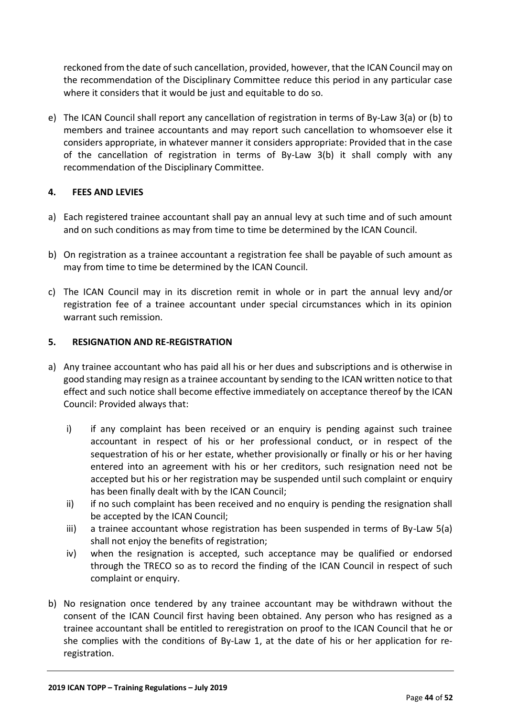reckoned from the date of such cancellation, provided, however, that the ICAN Council may on the recommendation of the Disciplinary Committee reduce this period in any particular case where it considers that it would be just and equitable to do so.

e) The ICAN Council shall report any cancellation of registration in terms of By-Law 3(a) or (b) to members and trainee accountants and may report such cancellation to whomsoever else it considers appropriate, in whatever manner it considers appropriate: Provided that in the case of the cancellation of registration in terms of By-Law 3(b) it shall comply with any recommendation of the Disciplinary Committee.

# **4. FEES AND LEVIES**

- a) Each registered trainee accountant shall pay an annual levy at such time and of such amount and on such conditions as may from time to time be determined by the ICAN Council.
- b) On registration as a trainee accountant a registration fee shall be payable of such amount as may from time to time be determined by the ICAN Council.
- c) The ICAN Council may in its discretion remit in whole or in part the annual levy and/or registration fee of a trainee accountant under special circumstances which in its opinion warrant such remission.

# **5. RESIGNATION AND RE-REGISTRATION**

- a) Any trainee accountant who has paid all his or her dues and subscriptions and is otherwise in good standing may resign as a trainee accountant by sending to the ICAN written notice to that effect and such notice shall become effective immediately on acceptance thereof by the ICAN Council: Provided always that:
	- i) if any complaint has been received or an enquiry is pending against such trainee accountant in respect of his or her professional conduct, or in respect of the sequestration of his or her estate, whether provisionally or finally or his or her having entered into an agreement with his or her creditors, such resignation need not be accepted but his or her registration may be suspended until such complaint or enquiry has been finally dealt with by the ICAN Council;
	- ii) if no such complaint has been received and no enquiry is pending the resignation shall be accepted by the ICAN Council;
	- iii) a trainee accountant whose registration has been suspended in terms of By-Law 5(a) shall not enjoy the benefits of registration;
	- iv) when the resignation is accepted, such acceptance may be qualified or endorsed through the TRECO so as to record the finding of the ICAN Council in respect of such complaint or enquiry.
- b) No resignation once tendered by any trainee accountant may be withdrawn without the consent of the ICAN Council first having been obtained. Any person who has resigned as a trainee accountant shall be entitled to reregistration on proof to the ICAN Council that he or she complies with the conditions of By-Law 1, at the date of his or her application for reregistration.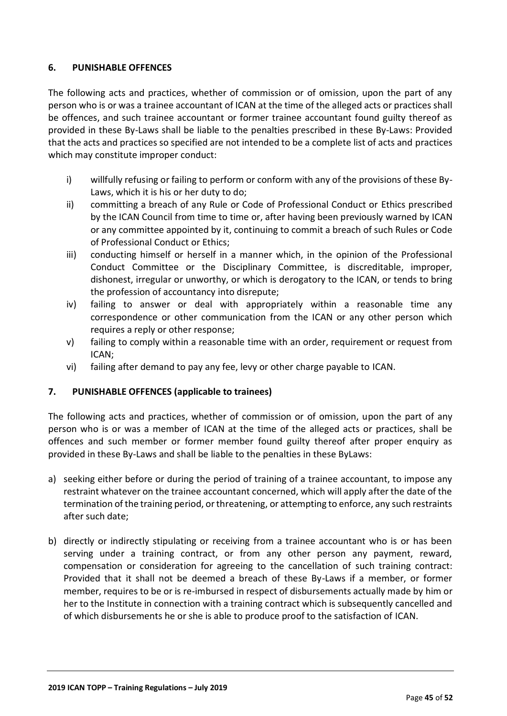# **6. PUNISHABLE OFFENCES**

The following acts and practices, whether of commission or of omission, upon the part of any person who is or was a trainee accountant of ICAN at the time of the alleged acts or practices shall be offences, and such trainee accountant or former trainee accountant found guilty thereof as provided in these By-Laws shall be liable to the penalties prescribed in these By-Laws: Provided that the acts and practices so specified are not intended to be a complete list of acts and practices which may constitute improper conduct:

- i) willfully refusing or failing to perform or conform with any of the provisions of these By-Laws, which it is his or her duty to do;
- ii) committing a breach of any Rule or Code of Professional Conduct or Ethics prescribed by the ICAN Council from time to time or, after having been previously warned by ICAN or any committee appointed by it, continuing to commit a breach of such Rules or Code of Professional Conduct or Ethics;
- iii) conducting himself or herself in a manner which, in the opinion of the Professional Conduct Committee or the Disciplinary Committee, is discreditable, improper, dishonest, irregular or unworthy, or which is derogatory to the ICAN, or tends to bring the profession of accountancy into disrepute;
- iv) failing to answer or deal with appropriately within a reasonable time any correspondence or other communication from the ICAN or any other person which requires a reply or other response;
- v) failing to comply within a reasonable time with an order, requirement or request from ICAN;
- vi) failing after demand to pay any fee, levy or other charge payable to ICAN.

# **7. PUNISHABLE OFFENCES (applicable to trainees)**

The following acts and practices, whether of commission or of omission, upon the part of any person who is or was a member of ICAN at the time of the alleged acts or practices, shall be offences and such member or former member found guilty thereof after proper enquiry as provided in these By-Laws and shall be liable to the penalties in these ByLaws:

- a) seeking either before or during the period of training of a trainee accountant, to impose any restraint whatever on the trainee accountant concerned, which will apply after the date of the termination of the training period, or threatening, or attempting to enforce, any such restraints after such date;
- b) directly or indirectly stipulating or receiving from a trainee accountant who is or has been serving under a training contract, or from any other person any payment, reward, compensation or consideration for agreeing to the cancellation of such training contract: Provided that it shall not be deemed a breach of these By-Laws if a member, or former member, requires to be or is re-imbursed in respect of disbursements actually made by him or her to the Institute in connection with a training contract which is subsequently cancelled and of which disbursements he or she is able to produce proof to the satisfaction of ICAN.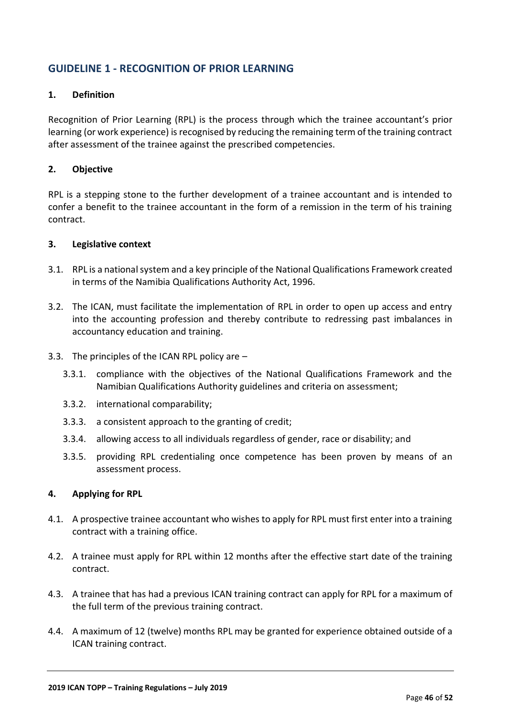# **GUIDELINE 1 - RECOGNITION OF PRIOR LEARNING**

# **1. Definition**

Recognition of Prior Learning (RPL) is the process through which the trainee accountant's prior learning (or work experience) is recognised by reducing the remaining term of the training contract after assessment of the trainee against the prescribed competencies.

# **2. Objective**

RPL is a stepping stone to the further development of a trainee accountant and is intended to confer a benefit to the trainee accountant in the form of a remission in the term of his training contract.

### **3. Legislative context**

- 3.1. RPL is a national system and a key principle of the National Qualifications Framework created in terms of the Namibia Qualifications Authority Act, 1996.
- 3.2. The ICAN, must facilitate the implementation of RPL in order to open up access and entry into the accounting profession and thereby contribute to redressing past imbalances in accountancy education and training.
- 3.3. The principles of the ICAN RPL policy are
	- 3.3.1. compliance with the objectives of the National Qualifications Framework and the Namibian Qualifications Authority guidelines and criteria on assessment;
	- 3.3.2. international comparability;
	- 3.3.3. a consistent approach to the granting of credit;
	- 3.3.4. allowing access to all individuals regardless of gender, race or disability; and
	- 3.3.5. providing RPL credentialing once competence has been proven by means of an assessment process.

### **4. Applying for RPL**

- 4.1. A prospective trainee accountant who wishes to apply for RPL must first enter into a training contract with a training office.
- 4.2. A trainee must apply for RPL within 12 months after the effective start date of the training contract.
- 4.3. A trainee that has had a previous ICAN training contract can apply for RPL for a maximum of the full term of the previous training contract.
- 4.4. A maximum of 12 (twelve) months RPL may be granted for experience obtained outside of a ICAN training contract.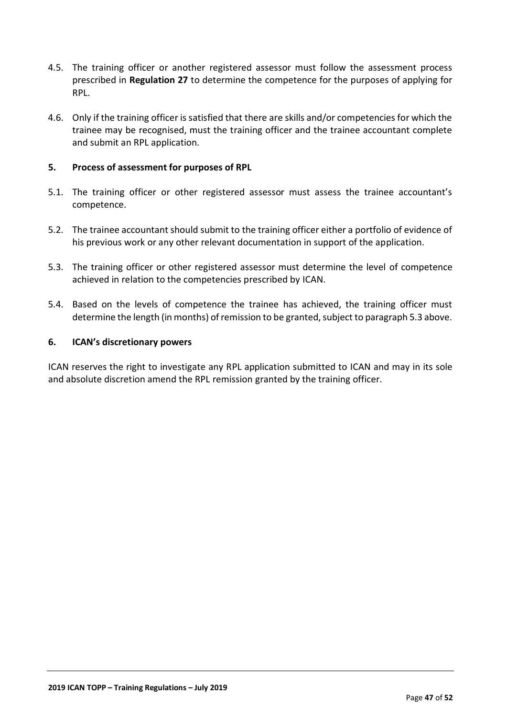- 4.5. The training officer or another registered assessor must follow the assessment process prescribed in **Regulation 27** to determine the competence for the purposes of applying for RPL.
- 4.6. Only if the training officer is satisfied that there are skills and/or competencies for which the trainee may be recognised, must the training officer and the trainee accountant complete and submit an RPL application.

# **5. Process of assessment for purposes of RPL**

- 5.1. The training officer or other registered assessor must assess the trainee accountant's competence.
- 5.2. The trainee accountant should submit to the training officer either a portfolio of evidence of his previous work or any other relevant documentation in support of the application.
- 5.3. The training officer or other registered assessor must determine the level of competence achieved in relation to the competencies prescribed by ICAN.
- 5.4. Based on the levels of competence the trainee has achieved, the training officer must determine the length (in months) of remission to be granted, subject to paragraph 5.3 above.

# **6. ICAN's discretionary powers**

ICAN reserves the right to investigate any RPL application submitted to ICAN and may in its sole and absolute discretion amend the RPL remission granted by the training officer.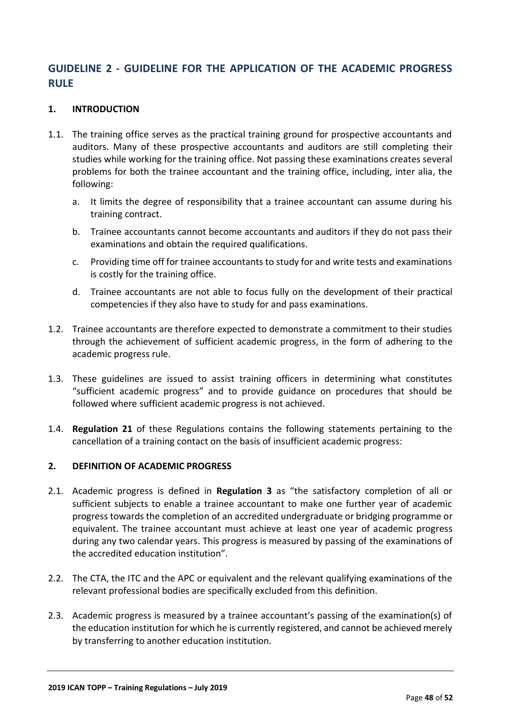# **GUIDELINE 2 - GUIDELINE FOR THE APPLICATION OF THE ACADEMIC PROGRESS RULE**

# **1. INTRODUCTION**

- 1.1. The training office serves as the practical training ground for prospective accountants and auditors. Many of these prospective accountants and auditors are still completing their studies while working for the training office. Not passing these examinations creates several problems for both the trainee accountant and the training office, including, inter alia, the following:
	- a. It limits the degree of responsibility that a trainee accountant can assume during his training contract.
	- b. Trainee accountants cannot become accountants and auditors if they do not pass their examinations and obtain the required qualifications.
	- c. Providing time off for trainee accountants to study for and write tests and examinations is costly for the training office.
	- d. Trainee accountants are not able to focus fully on the development of their practical competencies if they also have to study for and pass examinations.
- 1.2. Trainee accountants are therefore expected to demonstrate a commitment to their studies through the achievement of sufficient academic progress, in the form of adhering to the academic progress rule.
- 1.3. These guidelines are issued to assist training officers in determining what constitutes "sufficient academic progress" and to provide guidance on procedures that should be followed where sufficient academic progress is not achieved.
- 1.4. **Regulation 21** of these Regulations contains the following statements pertaining to the cancellation of a training contact on the basis of insufficient academic progress:

### **2. DEFINITION OF ACADEMIC PROGRESS**

- 2.1. Academic progress is defined in **Regulation 3** as "the satisfactory completion of all or sufficient subjects to enable a trainee accountant to make one further year of academic progress towards the completion of an accredited undergraduate or bridging programme or equivalent. The trainee accountant must achieve at least one year of academic progress during any two calendar years. This progress is measured by passing of the examinations of the accredited education institution".
- 2.2. The CTA, the ITC and the APC or equivalent and the relevant qualifying examinations of the relevant professional bodies are specifically excluded from this definition.
- 2.3. Academic progress is measured by a trainee accountant's passing of the examination(s) of the education institution for which he is currently registered, and cannot be achieved merely by transferring to another education institution.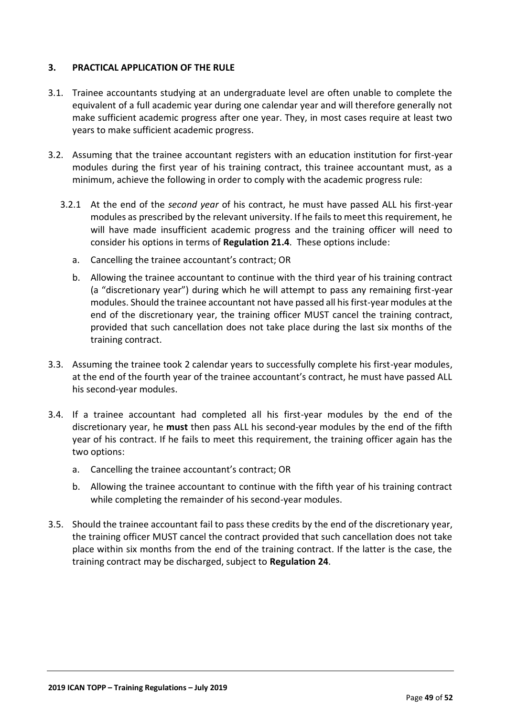# **3. PRACTICAL APPLICATION OF THE RULE**

- 3.1. Trainee accountants studying at an undergraduate level are often unable to complete the equivalent of a full academic year during one calendar year and will therefore generally not make sufficient academic progress after one year. They, in most cases require at least two years to make sufficient academic progress.
- 3.2. Assuming that the trainee accountant registers with an education institution for first-year modules during the first year of his training contract, this trainee accountant must, as a minimum, achieve the following in order to comply with the academic progress rule:
	- 3.2.1 At the end of the *second year* of his contract, he must have passed ALL his first-year modules as prescribed by the relevant university. If he fails to meet this requirement, he will have made insufficient academic progress and the training officer will need to consider his options in terms of **Regulation 21.4**. These options include:
		- a. Cancelling the trainee accountant's contract; OR
		- b. Allowing the trainee accountant to continue with the third year of his training contract (a "discretionary year") during which he will attempt to pass any remaining first-year modules. Should the trainee accountant not have passed all his first-year modules at the end of the discretionary year, the training officer MUST cancel the training contract, provided that such cancellation does not take place during the last six months of the training contract.
- 3.3. Assuming the trainee took 2 calendar years to successfully complete his first-year modules, at the end of the fourth year of the trainee accountant's contract, he must have passed ALL his second-year modules.
- 3.4. If a trainee accountant had completed all his first-year modules by the end of the discretionary year, he **must** then pass ALL his second-year modules by the end of the fifth year of his contract. If he fails to meet this requirement, the training officer again has the two options:
	- a. Cancelling the trainee accountant's contract; OR
	- b. Allowing the trainee accountant to continue with the fifth year of his training contract while completing the remainder of his second-year modules.
- 3.5. Should the trainee accountant fail to pass these credits by the end of the discretionary year, the training officer MUST cancel the contract provided that such cancellation does not take place within six months from the end of the training contract. If the latter is the case, the training contract may be discharged, subject to **Regulation 24**.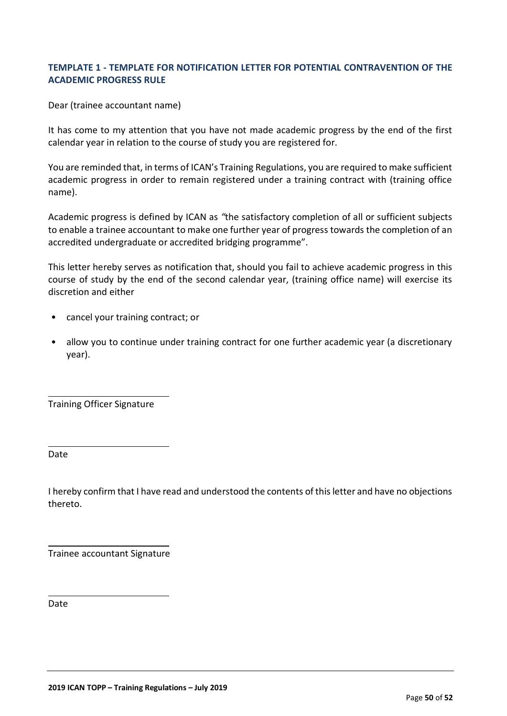# **TEMPLATE 1 - TEMPLATE FOR NOTIFICATION LETTER FOR POTENTIAL CONTRAVENTION OF THE ACADEMIC PROGRESS RULE**

Dear (trainee accountant name)

It has come to my attention that you have not made academic progress by the end of the first calendar year in relation to the course of study you are registered for.

You are reminded that, in terms of ICAN's Training Regulations, you are required to make sufficient academic progress in order to remain registered under a training contract with (training office name).

Academic progress is defined by ICAN as *"*the satisfactory completion of all or sufficient subjects to enable a trainee accountant to make one further year of progress towards the completion of an accredited undergraduate or accredited bridging programme".

This letter hereby serves as notification that, should you fail to achieve academic progress in this course of study by the end of the second calendar year, (training office name) will exercise its discretion and either

- cancel your training contract; or
- allow you to continue under training contract for one further academic year (a discretionary year).

Training Officer Signature

Date

I hereby confirm that I have read and understood the contents of this letter and have no objections thereto.

Trainee accountant Signature

Date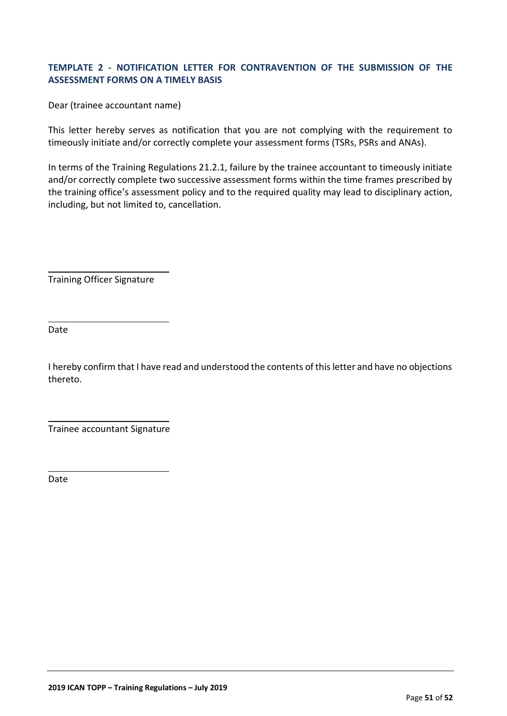# **TEMPLATE 2 - NOTIFICATION LETTER FOR CONTRAVENTION OF THE SUBMISSION OF THE ASSESSMENT FORMS ON A TIMELY BASIS**

Dear (trainee accountant name)

This letter hereby serves as notification that you are not complying with the requirement to timeously initiate and/or correctly complete your assessment forms (TSRs, PSRs and ANAs).

In terms of the Training Regulations 21.2.1, failure by the trainee accountant to timeously initiate and/or correctly complete two successive assessment forms within the time frames prescribed by the training office's assessment policy and to the required quality may lead to disciplinary action, including, but not limited to, cancellation.

Training Officer Signature

Date

I hereby confirm that I have read and understood the contents of this letter and have no objections thereto.

Trainee accountant Signature

Date